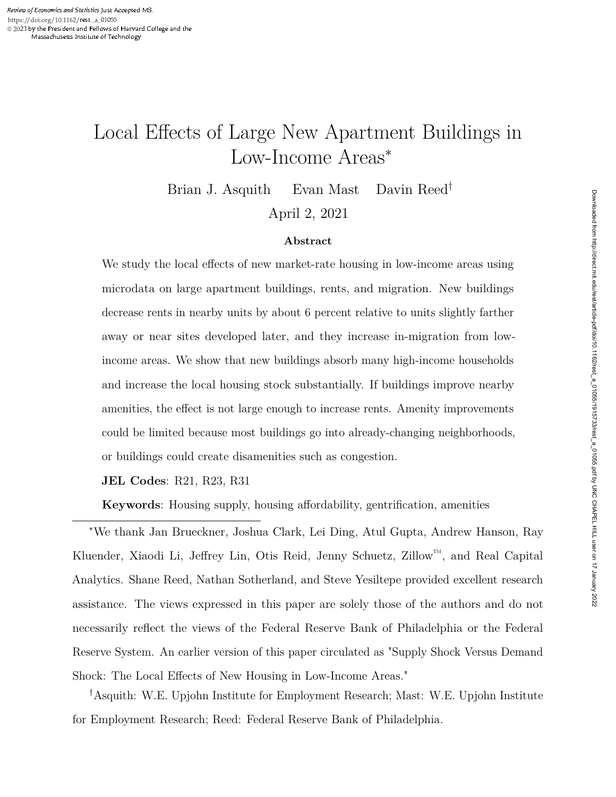# Local Effects of Large New Apartment Buildings in Low-Income Areas<sup>∗</sup>

Brian J. Asquith Evan Mast Davin Reed† April 2, 2021

#### **Abstract**

We study the local effects of new market-rate housing in low-income areas using microdata on large apartment buildings, rents, and migration. New buildings decrease rents in nearby units by about 6 percent relative to units slightly farther away or near sites developed later, and they increase in-migration from lowincome areas. We show that new buildings absorb many high-income households and increase the local housing stock substantially. If buildings improve nearby amenities, the effect is not large enough to increase rents. Amenity improvements could be limited because most buildings go into already-changing neighborhoods, or buildings could create disamenities such as congestion.

**JEL Codes**: R21, R23, R31

**Keywords**: Housing supply, housing affordability, gentrification, amenities

<sup>∗</sup>We thank Jan Brueckner, Joshua Clark, Lei Ding, Atul Gupta, Andrew Hanson, Ray Kluender, Xiaodi Li, Jeffrey Lin, Otis Reid, Jenny Schuetz, Zillow™, and Real Capital Analytics. Shane Reed, Nathan Sotherland, and Steve Yesiltepe provided excellent research assistance. The views expressed in this paper are solely those of the authors and do not necessarily reflect the views of the Federal Reserve Bank of Philadelphia or the Federal Reserve System. An earlier version of this paper circulated as "Supply Shock Versus Demand Shock: The Local Effects of New Housing in Low-Income Areas."

†Asquith: W.E. Upjohn Institute for Employment Research; Mast: W.E. Upjohn Institute for Employment Research; Reed: Federal Reserve Bank of Philadelphia.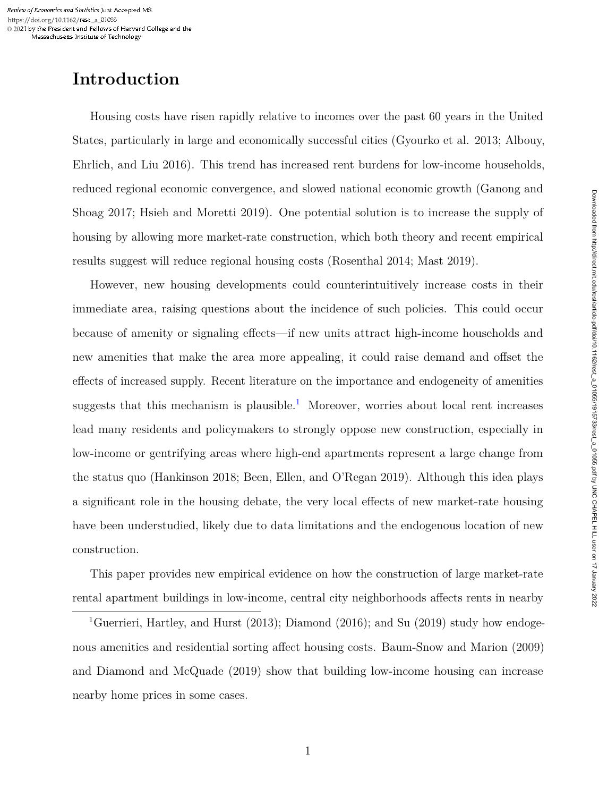## **Introduction**

Housing costs have risen rapidly relative to incomes over the past 60 years in the United States, particularly in large and economically successful cities (Gyourko et al. 2013; Albouy, Ehrlich, and Liu 2016). This trend has increased rent burdens for low-income households, reduced regional economic convergence, and slowed national economic growth (Ganong and Shoag 2017; Hsieh and Moretti 2019). One potential solution is to increase the supply of housing by allowing more market-rate construction, which both theory and recent empirical results suggest will reduce regional housing costs (Rosenthal 2014; Mast 2019).

However, new housing developments could counterintuitively increase costs in their immediate area, raising questions about the incidence of such policies. This could occur because of amenity or signaling effects—if new units attract high-income households and new amenities that make the area more appealing, it could raise demand and offset the effects of increased supply. Recent literature on the importance and endogeneity of amenities suggests that this mechanism is plausible.<sup>1</sup> Moreover, worries about local rent increases lead many residents and policymakers to strongly oppose new construction, especially in low-income or gentrifying areas where high-end apartments represent a large change from the status quo (Hankinson 2018; Been, Ellen, and O'Regan 2019). Although this idea plays a significant role in the housing debate, the very local effects of new market-rate housing have been understudied, likely due to data limitations and the endogenous location of new construction.

This paper provides new empirical evidence on how the construction of large market-rate rental apartment buildings in low-income, central city neighborhoods affects rents in nearby

<sup>1</sup>Guerrieri, Hartley, and Hurst (2013); Diamond (2016); and Su (2019) study how endogenous amenities and residential sorting affect housing costs. Baum-Snow and Marion (2009) and Diamond and McQuade (2019) show that building low-income housing can increase nearby home prices in some cases.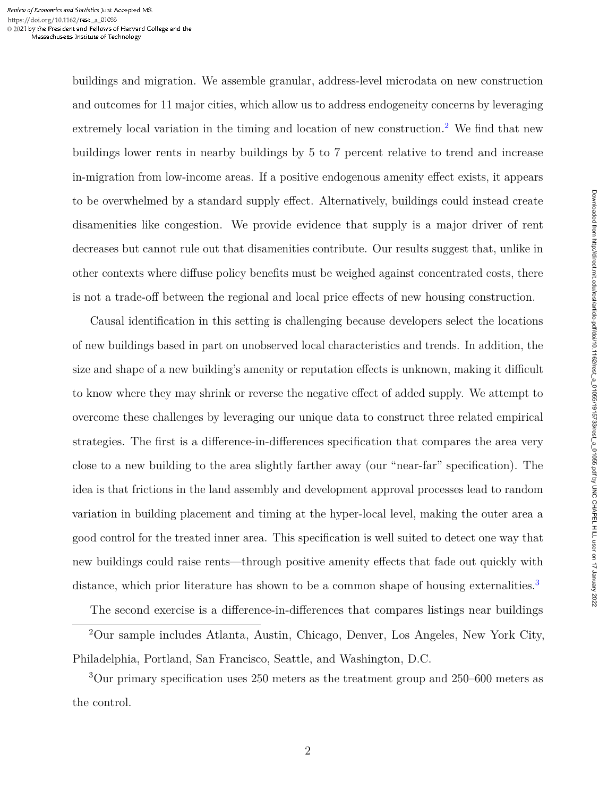buildings and migration. We assemble granular, address-level microdata on new construction and outcomes for 11 major cities, which allow us to address endogeneity concerns by leveraging extremely local variation in the timing and location of new construction.<sup>2</sup> We find that new buildings lower rents in nearby buildings by 5 to 7 percent relative to trend and increase in-migration from low-income areas. If a positive endogenous amenity effect exists, it appears to be overwhelmed by a standard supply effect. Alternatively, buildings could instead create disamenities like congestion. We provide evidence that supply is a major driver of rent decreases but cannot rule out that disamenities contribute. Our results suggest that, unlike in other contexts where diffuse policy benefits must be weighed against concentrated costs, there is not a trade-off between the regional and local price effects of new housing construction.

Causal identification in this setting is challenging because developers select the locations of new buildings based in part on unobserved local characteristics and trends. In addition, the size and shape of a new building's amenity or reputation effects is unknown, making it difficult to know where they may shrink or reverse the negative effect of added supply. We attempt to overcome these challenges by leveraging our unique data to construct three related empirical strategies. The first is a difference-in-differences specification that compares the area very close to a new building to the area slightly farther away (our "near-far" specification). The idea is that frictions in the land assembly and development approval processes lead to random variation in building placement and timing at the hyper-local level, making the outer area a good control for the treated inner area. This specification is well suited to detect one way that new buildings could raise rents—through positive amenity effects that fade out quickly with distance, which prior literature has shown to be a common shape of housing externalities.<sup>3</sup>

The second exercise is a difference-in-differences that compares listings near buildings

<sup>2</sup>Our sample includes Atlanta, Austin, Chicago, Denver, Los Angeles, New York City, Philadelphia, Portland, San Francisco, Seattle, and Washington, D.C.

<sup>3</sup>Our primary specification uses 250 meters as the treatment group and 250–600 meters as the control.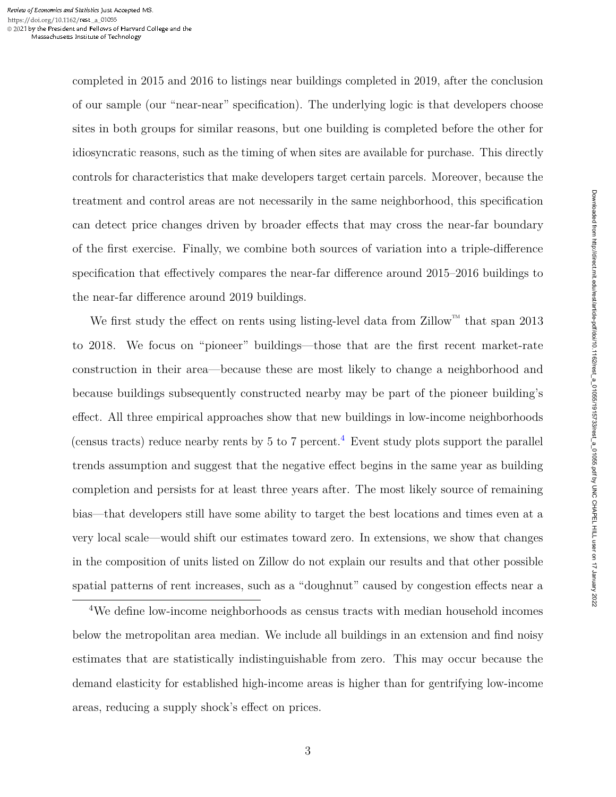completed in 2015 and 2016 to listings near buildings completed in 2019, after the conclusion of our sample (our "near-near" specification). The underlying logic is that developers choose sites in both groups for similar reasons, but one building is completed before the other for idiosyncratic reasons, such as the timing of when sites are available for purchase. This directly controls for characteristics that make developers target certain parcels. Moreover, because the treatment and control areas are not necessarily in the same neighborhood, this specification can detect price changes driven by broader effects that may cross the near-far boundary of the first exercise. Finally, we combine both sources of variation into a triple-difference specification that effectively compares the near-far difference around 2015–2016 buildings to the near-far difference around 2019 buildings.

We first study the effect on rents using listing-level data from Zillow<sup>™</sup> that span 2013 to 2018. We focus on "pioneer" buildings—those that are the first recent market-rate construction in their area—because these are most likely to change a neighborhood and because buildings subsequently constructed nearby may be part of the pioneer building's effect. All three empirical approaches show that new buildings in low-income neighborhoods (census tracts) reduce nearby rents by 5 to 7 percent.<sup>4</sup> Event study plots support the parallel trends assumption and suggest that the negative effect begins in the same year as building completion and persists for at least three years after. The most likely source of remaining bias—that developers still have some ability to target the best locations and times even at a very local scale—would shift our estimates toward zero. In extensions, we show that changes in the composition of units listed on Zillow do not explain our results and that other possible spatial patterns of rent increases, such as a "doughnut" caused by congestion effects near a

<sup>4</sup>We define low-income neighborhoods as census tracts with median household incomes below the metropolitan area median. We include all buildings in an extension and find noisy estimates that are statistically indistinguishable from zero. This may occur because the demand elasticity for established high-income areas is higher than for gentrifying low-income areas, reducing a supply shock's effect on prices.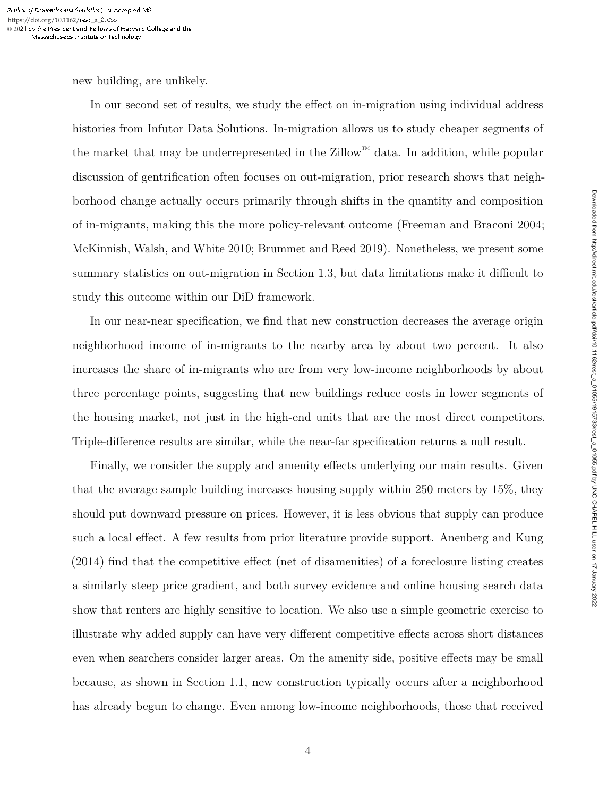new building, are unlikely.

In our second set of results, we study the effect on in-migration using individual address histories from Infutor Data Solutions. In-migration allows us to study cheaper segments of the market that may be underrepresented in the  $\text{Zillow}^{\text{m}}$  data. In addition, while popular discussion of gentrification often focuses on out-migration, prior research shows that neighborhood change actually occurs primarily through shifts in the quantity and composition of in-migrants, making this the more policy-relevant outcome (Freeman and Braconi 2004; McKinnish, Walsh, and White 2010; Brummet and Reed 2019). Nonetheless, we present some summary statistics on out-migration in Section 1.3, but data limitations make it difficult to study this outcome within our DiD framework.

In our near-near specification, we find that new construction decreases the average origin neighborhood income of in-migrants to the nearby area by about two percent. It also increases the share of in-migrants who are from very low-income neighborhoods by about three percentage points, suggesting that new buildings reduce costs in lower segments of the housing market, not just in the high-end units that are the most direct competitors. Triple-difference results are similar, while the near-far specification returns a null result.

Finally, we consider the supply and amenity effects underlying our main results. Given that the average sample building increases housing supply within 250 meters by 15%, they should put downward pressure on prices. However, it is less obvious that supply can produce such a local effect. A few results from prior literature provide support. Anenberg and Kung (2014) find that the competitive effect (net of disamenities) of a foreclosure listing creates a similarly steep price gradient, and both survey evidence and online housing search data show that renters are highly sensitive to location. We also use a simple geometric exercise to illustrate why added supply can have very different competitive effects across short distances even when searchers consider larger areas. On the amenity side, positive effects may be small because, as shown in Section 1.1, new construction typically occurs after a neighborhood has already begun to change. Even among low-income neighborhoods, those that received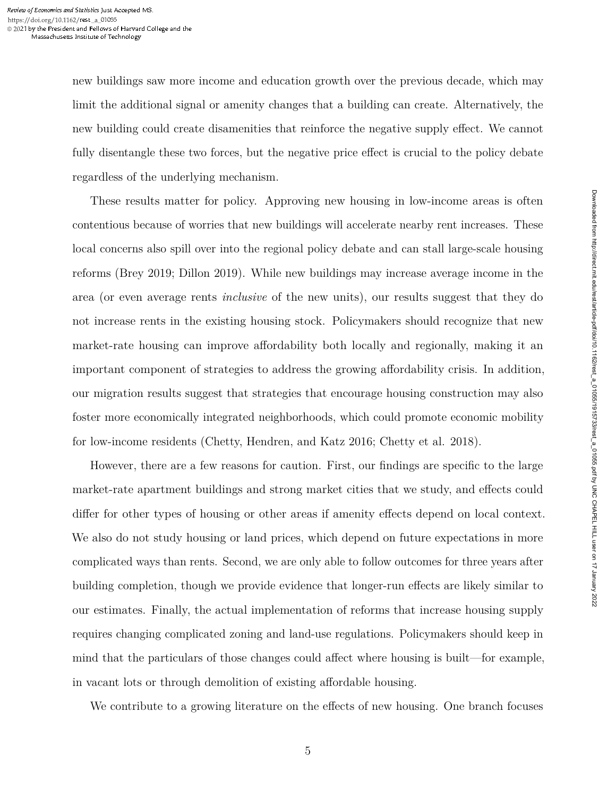new buildings saw more income and education growth over the previous decade, which may limit the additional signal or amenity changes that a building can create. Alternatively, the new building could create disamenities that reinforce the negative supply effect. We cannot fully disentangle these two forces, but the negative price effect is crucial to the policy debate regardless of the underlying mechanism.

These results matter for policy. Approving new housing in low-income areas is often contentious because of worries that new buildings will accelerate nearby rent increases. These local concerns also spill over into the regional policy debate and can stall large-scale housing reforms (Brey 2019; Dillon 2019). While new buildings may increase average income in the area (or even average rents *inclusive* of the new units), our results suggest that they do not increase rents in the existing housing stock. Policymakers should recognize that new market-rate housing can improve affordability both locally and regionally, making it an important component of strategies to address the growing affordability crisis. In addition, our migration results suggest that strategies that encourage housing construction may also foster more economically integrated neighborhoods, which could promote economic mobility for low-income residents (Chetty, Hendren, and Katz 2016; Chetty et al. 2018).

However, there are a few reasons for caution. First, our findings are specific to the large market-rate apartment buildings and strong market cities that we study, and effects could differ for other types of housing or other areas if amenity effects depend on local context. We also do not study housing or land prices, which depend on future expectations in more complicated ways than rents. Second, we are only able to follow outcomes for three years after building completion, though we provide evidence that longer-run effects are likely similar to our estimates. Finally, the actual implementation of reforms that increase housing supply requires changing complicated zoning and land-use regulations. Policymakers should keep in mind that the particulars of those changes could affect where housing is built—for example, in vacant lots or through demolition of existing affordable housing.

We contribute to a growing literature on the effects of new housing. One branch focuses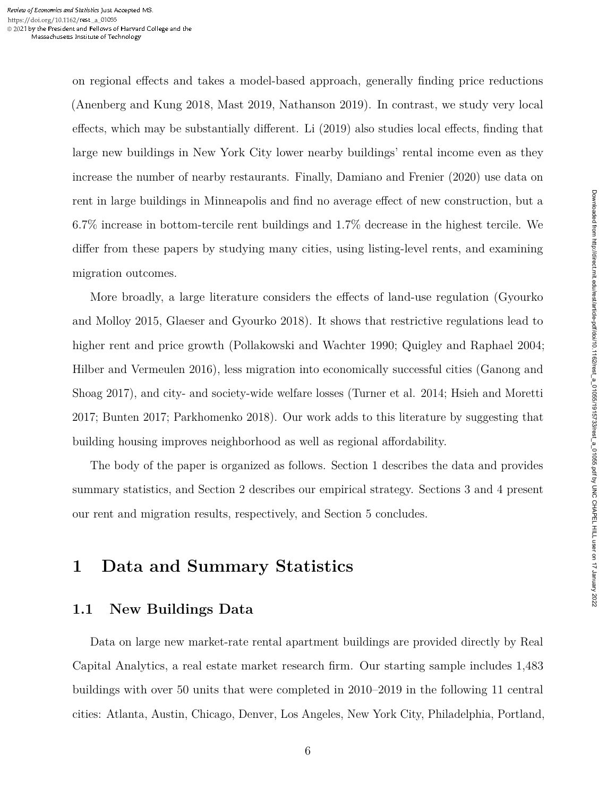on regional effects and takes a model-based approach, generally finding price reductions (Anenberg and Kung 2018, Mast 2019, Nathanson 2019). In contrast, we study very local effects, which may be substantially different. Li (2019) also studies local effects, finding that large new buildings in New York City lower nearby buildings' rental income even as they increase the number of nearby restaurants. Finally, Damiano and Frenier (2020) use data on rent in large buildings in Minneapolis and find no average effect of new construction, but a 6.7% increase in bottom-tercile rent buildings and 1.7% decrease in the highest tercile. We differ from these papers by studying many cities, using listing-level rents, and examining migration outcomes.

More broadly, a large literature considers the effects of land-use regulation (Gyourko and Molloy 2015, Glaeser and Gyourko 2018). It shows that restrictive regulations lead to higher rent and price growth (Pollakowski and Wachter 1990; Quigley and Raphael 2004; Hilber and Vermeulen 2016), less migration into economically successful cities (Ganong and Shoag 2017), and city- and society-wide welfare losses (Turner et al. 2014; Hsieh and Moretti 2017; Bunten 2017; Parkhomenko 2018). Our work adds to this literature by suggesting that building housing improves neighborhood as well as regional affordability.

The body of the paper is organized as follows. Section 1 describes the data and provides summary statistics, and Section 2 describes our empirical strategy. Sections 3 and 4 present our rent and migration results, respectively, and Section 5 concludes.

### **1 Data and Summary Statistics**

#### **1.1 New Buildings Data**

Data on large new market-rate rental apartment buildings are provided directly by Real Capital Analytics, a real estate market research firm. Our starting sample includes 1,483 buildings with over 50 units that were completed in 2010–2019 in the following 11 central cities: Atlanta, Austin, Chicago, Denver, Los Angeles, New York City, Philadelphia, Portland,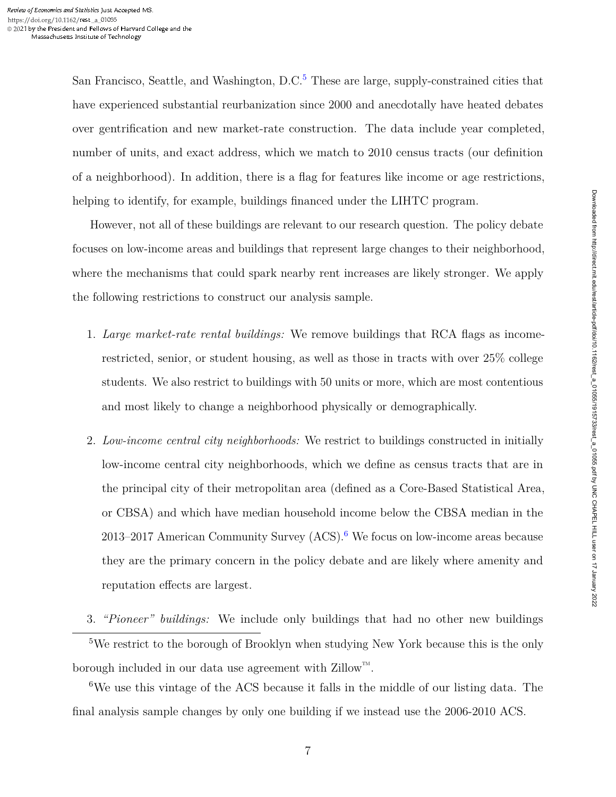San Francisco, Seattle, and Washington,  $D.C.<sup>5</sup>$  These are large, supply-constrained cities that have experienced substantial reurbanization since 2000 and anecdotally have heated debates over gentrification and new market-rate construction. The data include year completed, number of units, and exact address, which we match to 2010 census tracts (our definition of a neighborhood). In addition, there is a flag for features like income or age restrictions, helping to identify, for example, buildings financed under the LIHTC program.

However, not all of these buildings are relevant to our research question. The policy debate focuses on low-income areas and buildings that represent large changes to their neighborhood, where the mechanisms that could spark nearby rent increases are likely stronger. We apply the following restrictions to construct our analysis sample.

- 1. *Large market-rate rental buildings:* We remove buildings that RCA flags as incomerestricted, senior, or student housing, as well as those in tracts with over 25% college students. We also restrict to buildings with 50 units or more, which are most contentious and most likely to change a neighborhood physically or demographically.
- 2. *Low-income central city neighborhoods:* We restrict to buildings constructed in initially low-income central city neighborhoods, which we define as census tracts that are in the principal city of their metropolitan area (defined as a Core-Based Statistical Area, or CBSA) and which have median household income below the CBSA median in the 2013–2017 American Community Survey (ACS).<sup>6</sup> We focus on low-income areas because they are the primary concern in the policy debate and are likely where amenity and reputation effects are largest.
- 3. *"Pioneer" buildings:* We include only buildings that had no other new buildings <sup>5</sup>We restrict to the borough of Brooklyn when studying New York because this is the only borough included in our data use agreement with  $\text{Zillow}^{\mathfrak{M}}$ .

<sup>6</sup>We use this vintage of the ACS because it falls in the middle of our listing data. The final analysis sample changes by only one building if we instead use the 2006-2010 ACS.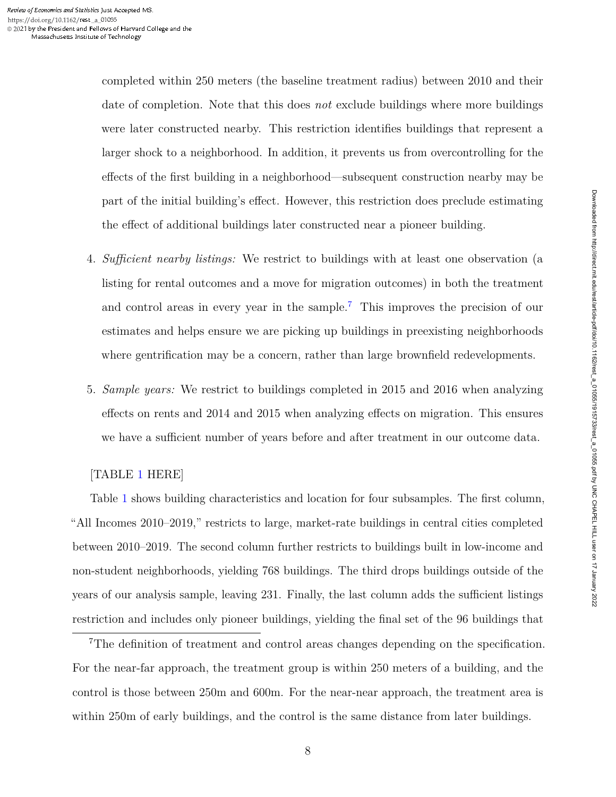completed within 250 meters (the baseline treatment radius) between 2010 and their date of completion. Note that this does *not* exclude buildings where more buildings were later constructed nearby. This restriction identifies buildings that represent a larger shock to a neighborhood. In addition, it prevents us from overcontrolling for the effects of the first building in a neighborhood—subsequent construction nearby may be part of the initial building's effect. However, this restriction does preclude estimating the effect of additional buildings later constructed near a pioneer building.

- 4. *Sufficient nearby listings:* We restrict to buildings with at least one observation (a listing for rental outcomes and a move for migration outcomes) in both the treatment and control areas in every year in the sample.<sup>7</sup> This improves the precision of our estimates and helps ensure we are picking up buildings in preexisting neighborhoods where gentrification may be a concern, rather than large brownfield redevelopments.
- 5. *Sample years:* We restrict to buildings completed in 2015 and 2016 when analyzing effects on rents and 2014 and 2015 when analyzing effects on migration. This ensures we have a sufficient number of years before and after treatment in our outcome data.

#### [TABLE 1 HERE]

Table 1 shows building characteristics and location for four subsamples. The first column, "All Incomes 2010–2019," restricts to large, market-rate buildings in central cities completed between 2010–2019. The second column further restricts to buildings built in low-income and non-student neighborhoods, yielding 768 buildings. The third drops buildings outside of the years of our analysis sample, leaving 231. Finally, the last column adds the sufficient listings restriction and includes only pioneer buildings, yielding the final set of the 96 buildings that

<sup>7</sup>The definition of treatment and control areas changes depending on the specification. For the near-far approach, the treatment group is within 250 meters of a building, and the control is those between 250m and 600m. For the near-near approach, the treatment area is within 250m of early buildings, and the control is the same distance from later buildings.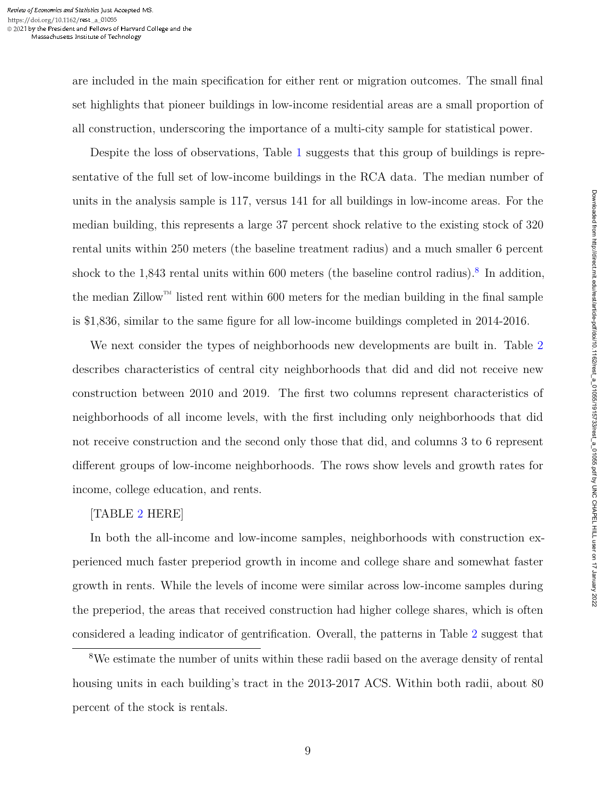are included in the main specification for either rent or migration outcomes. The small final set highlights that pioneer buildings in low-income residential areas are a small proportion of all construction, underscoring the importance of a multi-city sample for statistical power.

Despite the loss of observations, Table 1 suggests that this group of buildings is representative of the full set of low-income buildings in the RCA data. The median number of units in the analysis sample is 117, versus 141 for all buildings in low-income areas. For the median building, this represents a large 37 percent shock relative to the existing stock of 320 rental units within 250 meters (the baseline treatment radius) and a much smaller 6 percent shock to the 1,843 rental units within 600 meters (the baseline control radius).<sup>8</sup> In addition, the median Zillow<sup>™</sup> listed rent within 600 meters for the median building in the final sample is \$1,836, similar to the same figure for all low-income buildings completed in 2014-2016.

We next consider the types of neighborhoods new developments are built in. Table 2 describes characteristics of central city neighborhoods that did and did not receive new construction between 2010 and 2019. The first two columns represent characteristics of neighborhoods of all income levels, with the first including only neighborhoods that did not receive construction and the second only those that did, and columns 3 to 6 represent different groups of low-income neighborhoods. The rows show levels and growth rates for income, college education, and rents.

#### [TABLE 2 HERE]

In both the all-income and low-income samples, neighborhoods with construction experienced much faster preperiod growth in income and college share and somewhat faster growth in rents. While the levels of income were similar across low-income samples during the preperiod, the areas that received construction had higher college shares, which is often considered a leading indicator of gentrification. Overall, the patterns in Table 2 suggest that

<sup>8</sup>We estimate the number of units within these radii based on the average density of rental housing units in each building's tract in the 2013-2017 ACS. Within both radii, about 80 percent of the stock is rentals.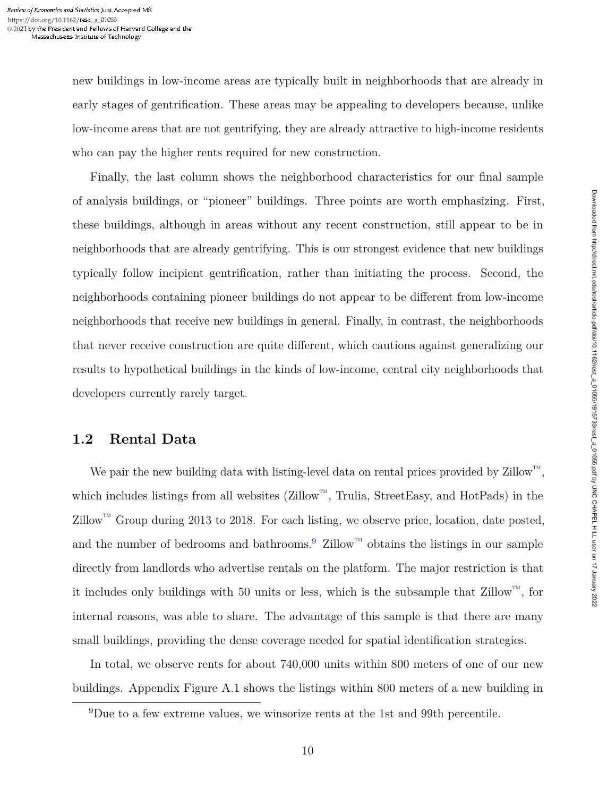new buildings in low-income areas are typically built in neighborhoods that are already in early stages of gentrification. These areas may be appealing to developers because, unlike low-income areas that are not gentrifying, they are already attractive to high-income residents who can pay the higher rents required for new construction.

Finally, the last column shows the neighborhood characteristics for our final sample of analysis buildings, or "pioneer" buildings. Three points are worth emphasizing. First, these buildings, although in areas without any recent construction, still appear to be in neighborhoods that are already gentrifying. This is our strongest evidence that new buildings typically follow incipient gentrification, rather than initiating the process. Second, the neighborhoods containing pioneer buildings do not appear to be different from low-income neighborhoods that receive new buildings in general. Finally, in contrast, the neighborhoods that never receive construction are quite different, which cautions against generalizing our results to hypothetical buildings in the kinds of low-income, central city neighborhoods that developers currently rarely target.

#### **1.2 Rental Data**

We pair the new building data with listing-level data on rental prices provided by  $\text{Zillow}^{\mathbb{M}}$ . which includes listings from all websites  $(Zillow^{\mathbb{M}})$ . Trulia, StreetEasy, and HotPads) in the Zillow<sup>™</sup> Group during 2013 to 2018. For each listing, we observe price, location, date posted, and the number of bedrooms and bathrooms.<sup>9</sup> Zillow<sup>™</sup> obtains the listings in our sample directly from landlords who advertise rentals on the platform. The major restriction is that it includes only buildings with 50 units or less, which is the subsample that  $\mathbb{Z}$ illow<sup>™</sup>, for internal reasons, was able to share. The advantage of this sample is that there are many small buildings, providing the dense coverage needed for spatial identification strategies.

In total, we observe rents for about 740,000 units within 800 meters of one of our new buildings. Appendix Figure A.1 shows the listings within 800 meters of a new building in

<sup>9</sup>Due to a few extreme values, we winsorize rents at the 1st and 99th percentile.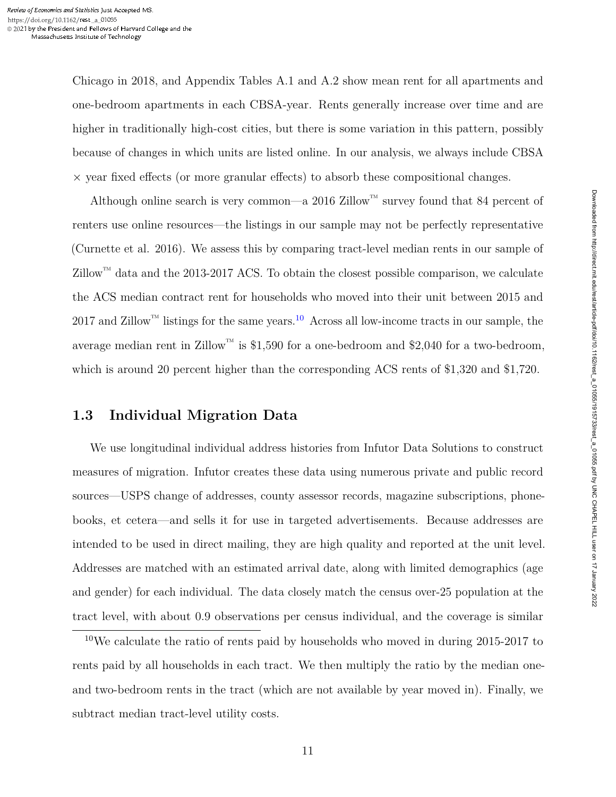Chicago in 2018, and Appendix Tables A.1 and A.2 show mean rent for all apartments and one-bedroom apartments in each CBSA-year. Rents generally increase over time and are higher in traditionally high-cost cities, but there is some variation in this pattern, possibly because of changes in which units are listed online. In our analysis, we always include CBSA  $\times$  year fixed effects (or more granular effects) to absorb these compositional changes.

Although online search is very common—a 2016 Zillow<sup>™</sup> survey found that 84 percent of renters use online resources—the listings in our sample may not be perfectly representative (Curnette et al. 2016). We assess this by comparing tract-level median rents in our sample of  $Zillow<sup>™</sup>$  data and the 2013-2017 ACS. To obtain the closest possible comparison, we calculate the ACS median contract rent for households who moved into their unit between 2015 and 2017 and Zillow<sup>™</sup> listings for the same years.<sup>10</sup> Across all low-income tracts in our sample, the average median rent in Zillow<sup>™</sup> is \$1,590 for a one-bedroom and \$2,040 for a two-bedroom, which is around 20 percent higher than the corresponding ACS rents of \$1,320 and \$1,720.

#### **1.3 Individual Migration Data**

We use longitudinal individual address histories from Infutor Data Solutions to construct measures of migration. Infutor creates these data using numerous private and public record sources—USPS change of addresses, county assessor records, magazine subscriptions, phonebooks, et cetera—and sells it for use in targeted advertisements. Because addresses are intended to be used in direct mailing, they are high quality and reported at the unit level. Addresses are matched with an estimated arrival date, along with limited demographics (age and gender) for each individual. The data closely match the census over-25 population at the tract level, with about 0.9 observations per census individual, and the coverage is similar

<sup>10</sup>We calculate the ratio of rents paid by households who moved in during 2015-2017 to rents paid by all households in each tract. We then multiply the ratio by the median oneand two-bedroom rents in the tract (which are not available by year moved in). Finally, we subtract median tract-level utility costs.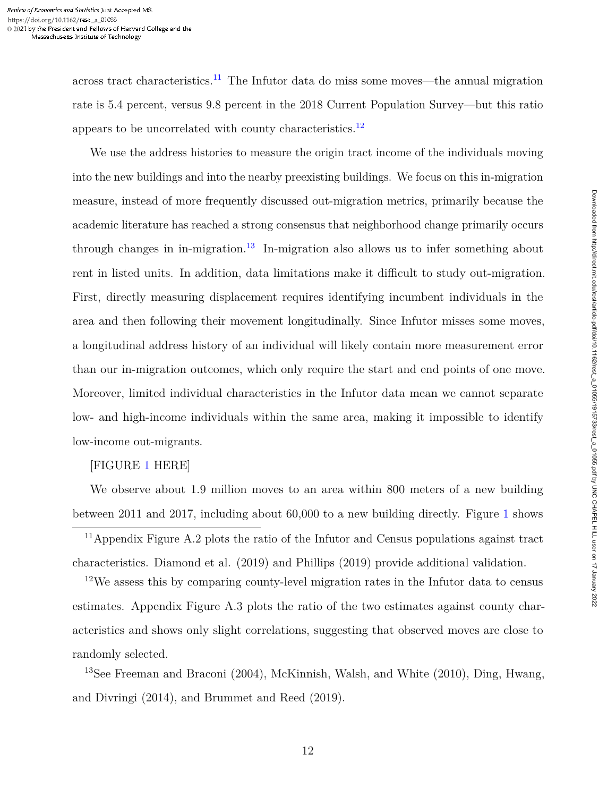across tract characteristics.<sup>11</sup> The Infutor data do miss some moves—the annual migration rate is 5.4 percent, versus 9.8 percent in the 2018 Current Population Survey—but this ratio appears to be uncorrelated with county characteristics.<sup>12</sup>

We use the address histories to measure the origin tract income of the individuals moving into the new buildings and into the nearby preexisting buildings. We focus on this in-migration measure, instead of more frequently discussed out-migration metrics, primarily because the academic literature has reached a strong consensus that neighborhood change primarily occurs through changes in in-migration.<sup>13</sup> In-migration also allows us to infer something about rent in listed units. In addition, data limitations make it difficult to study out-migration. First, directly measuring displacement requires identifying incumbent individuals in the area and then following their movement longitudinally. Since Infutor misses some moves, a longitudinal address history of an individual will likely contain more measurement error than our in-migration outcomes, which only require the start and end points of one move. Moreover, limited individual characteristics in the Infutor data mean we cannot separate low- and high-income individuals within the same area, making it impossible to identify low-income out-migrants.

#### [FIGURE 1 HERE]

We observe about 1.9 million moves to an area within 800 meters of a new building between 2011 and 2017, including about 60,000 to a new building directly. Figure 1 shows

<sup>12</sup>We assess this by comparing county-level migration rates in the Infutor data to census estimates. Appendix Figure A.3 plots the ratio of the two estimates against county characteristics and shows only slight correlations, suggesting that observed moves are close to randomly selected.

<sup>13</sup>See Freeman and Braconi (2004), McKinnish, Walsh, and White (2010), Ding, Hwang, and Divringi (2014), and Brummet and Reed (2019).

<sup>11</sup>Appendix Figure A.2 plots the ratio of the Infutor and Census populations against tract characteristics. Diamond et al. (2019) and Phillips (2019) provide additional validation.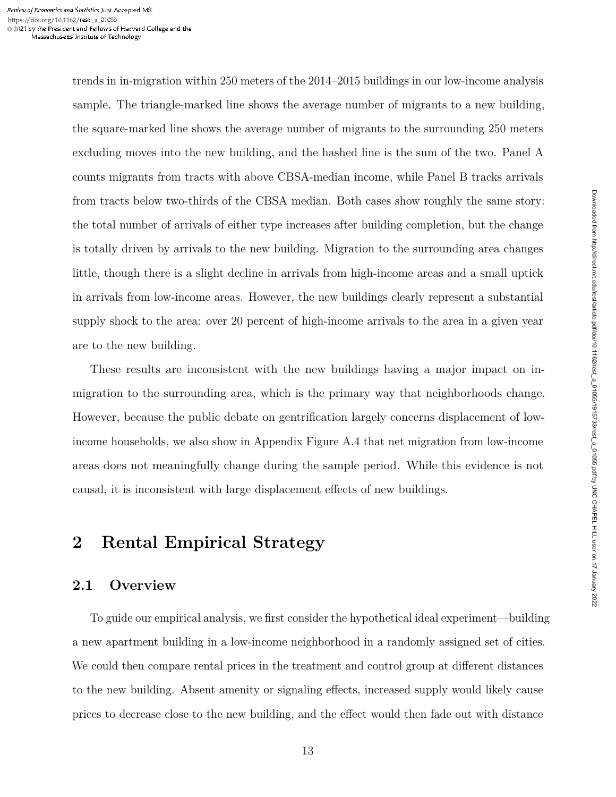trends in in-migration within 250 meters of the 2014–2015 buildings in our low-income analysis sample. The triangle-marked line shows the average number of migrants to a new building, the square-marked line shows the average number of migrants to the surrounding 250 meters excluding moves into the new building, and the hashed line is the sum of the two. Panel A counts migrants from tracts with above CBSA-median income, while Panel B tracks arrivals from tracts below two-thirds of the CBSA median. Both cases show roughly the same story: the total number of arrivals of either type increases after building completion, but the change is totally driven by arrivals to the new building. Migration to the surrounding area changes little, though there is a slight decline in arrivals from high-income areas and a small uptick in arrivals from low-income areas. However, the new buildings clearly represent a substantial supply shock to the area: over 20 percent of high-income arrivals to the area in a given year are to the new building.

These results are inconsistent with the new buildings having a major impact on inmigration to the surrounding area, which is the primary way that neighborhoods change. However, because the public debate on gentrification largely concerns displacement of lowincome households, we also show in Appendix Figure A.4 that net migration from low-income areas does not meaningfully change during the sample period. While this evidence is not causal, it is inconsistent with large displacement effects of new buildings.

## **2 Rental Empirical Strategy**

#### **2.1 Overview**

To guide our empirical analysis, we first consider the hypothetical ideal experiment—building a new apartment building in a low-income neighborhood in a randomly assigned set of cities. We could then compare rental prices in the treatment and control group at different distances to the new building. Absent amenity or signaling effects, increased supply would likely cause prices to decrease close to the new building, and the effect would then fade out with distance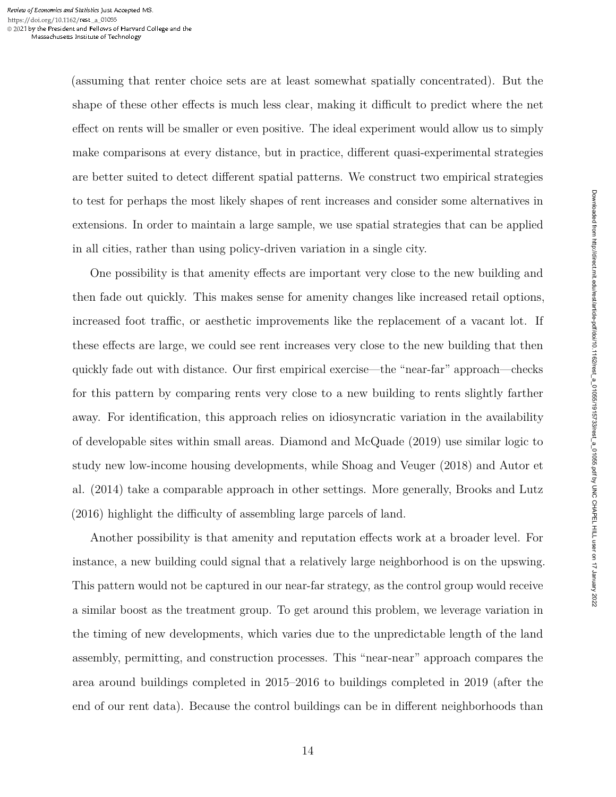(assuming that renter choice sets are at least somewhat spatially concentrated). But the shape of these other effects is much less clear, making it difficult to predict where the net effect on rents will be smaller or even positive. The ideal experiment would allow us to simply make comparisons at every distance, but in practice, different quasi-experimental strategies are better suited to detect different spatial patterns. We construct two empirical strategies to test for perhaps the most likely shapes of rent increases and consider some alternatives in extensions. In order to maintain a large sample, we use spatial strategies that can be applied in all cities, rather than using policy-driven variation in a single city.

One possibility is that amenity effects are important very close to the new building and then fade out quickly. This makes sense for amenity changes like increased retail options, increased foot traffic, or aesthetic improvements like the replacement of a vacant lot. If these effects are large, we could see rent increases very close to the new building that then quickly fade out with distance. Our first empirical exercise—the "near-far" approach—checks for this pattern by comparing rents very close to a new building to rents slightly farther away. For identification, this approach relies on idiosyncratic variation in the availability of developable sites within small areas. Diamond and McQuade (2019) use similar logic to study new low-income housing developments, while Shoag and Veuger (2018) and Autor et al. (2014) take a comparable approach in other settings. More generally, Brooks and Lutz (2016) highlight the difficulty of assembling large parcels of land.

Another possibility is that amenity and reputation effects work at a broader level. For instance, a new building could signal that a relatively large neighborhood is on the upswing. This pattern would not be captured in our near-far strategy, as the control group would receive a similar boost as the treatment group. To get around this problem, we leverage variation in the timing of new developments, which varies due to the unpredictable length of the land assembly, permitting, and construction processes. This "near-near" approach compares the area around buildings completed in 2015–2016 to buildings completed in 2019 (after the end of our rent data). Because the control buildings can be in different neighborhoods than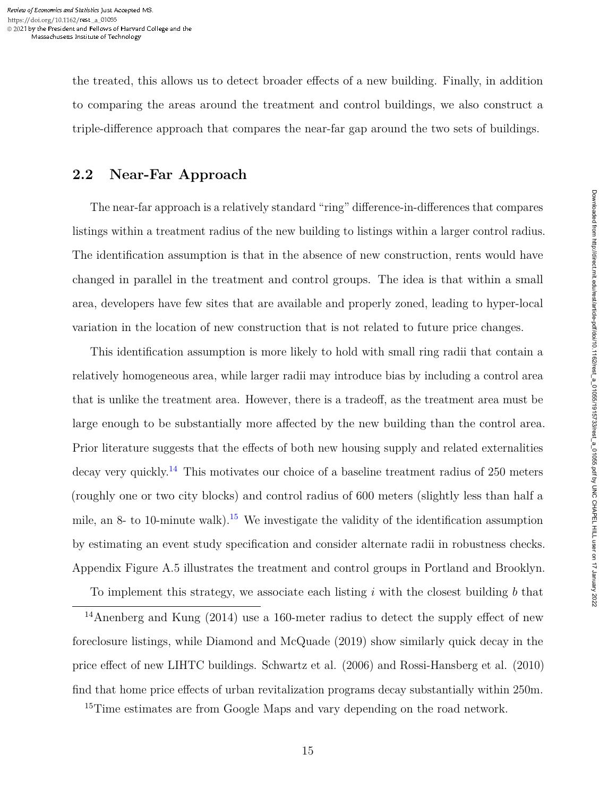the treated, this allows us to detect broader effects of a new building. Finally, in addition to comparing the areas around the treatment and control buildings, we also construct a triple-difference approach that compares the near-far gap around the two sets of buildings.

#### **2.2 Near-Far Approach**

The near-far approach is a relatively standard "ring" difference-in-differences that compares listings within a treatment radius of the new building to listings within a larger control radius. The identification assumption is that in the absence of new construction, rents would have changed in parallel in the treatment and control groups. The idea is that within a small area, developers have few sites that are available and properly zoned, leading to hyper-local variation in the location of new construction that is not related to future price changes.

This identification assumption is more likely to hold with small ring radii that contain a relatively homogeneous area, while larger radii may introduce bias by including a control area that is unlike the treatment area. However, there is a tradeoff, as the treatment area must be large enough to be substantially more affected by the new building than the control area. Prior literature suggests that the effects of both new housing supply and related externalities decay very quickly.<sup>14</sup> This motivates our choice of a baseline treatment radius of 250 meters (roughly one or two city blocks) and control radius of 600 meters (slightly less than half a mile, an  $8-$  to 10-minute walk).<sup>15</sup> We investigate the validity of the identification assumption by estimating an event study specification and consider alternate radii in robustness checks. Appendix Figure A.5 illustrates the treatment and control groups in Portland and Brooklyn.

To implement this strategy, we associate each listing *i* with the closest building *b* that

<sup>14</sup>Anenberg and Kung (2014) use a 160-meter radius to detect the supply effect of new foreclosure listings, while Diamond and McQuade (2019) show similarly quick decay in the price effect of new LIHTC buildings. Schwartz et al. (2006) and Rossi-Hansberg et al. (2010) find that home price effects of urban revitalization programs decay substantially within 250m.

<sup>15</sup>Time estimates are from Google Maps and vary depending on the road network.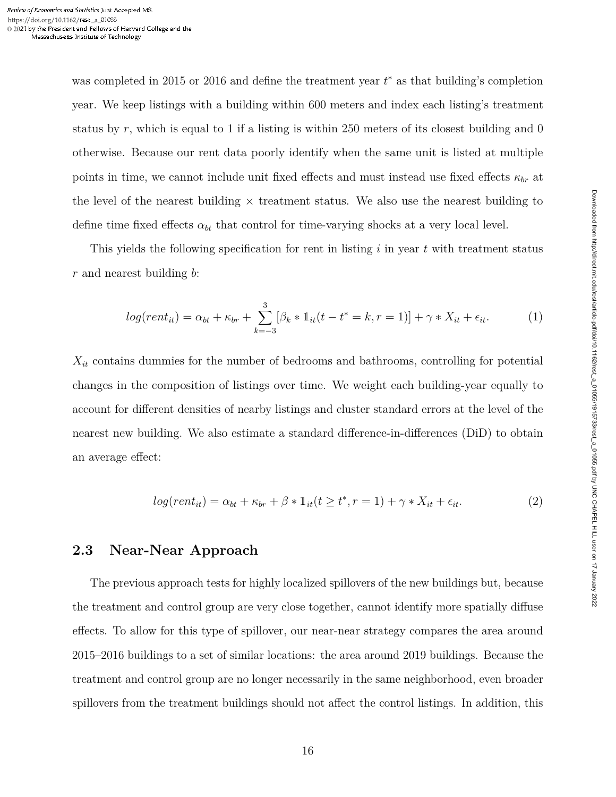was completed in 2015 or 2016 and define the treatment year *t* <sup>∗</sup> as that building's completion year. We keep listings with a building within 600 meters and index each listing's treatment status by  $r$ , which is equal to 1 if a listing is within 250 meters of its closest building and 0 otherwise. Because our rent data poorly identify when the same unit is listed at multiple points in time, we cannot include unit fixed effects and must instead use fixed effects  $\kappa_{br}$  at the level of the nearest building  $\times$  treatment status. We also use the nearest building to define time fixed effects  $\alpha_{bt}$  that control for time-varying shocks at a very local level.

This yields the following specification for rent in listing *i* in year *t* with treatment status *r* and nearest building *b*:

$$
log(rent_{it}) = \alpha_{bt} + \kappa_{br} + \sum_{k=-3}^{3} [\beta_k * 1_{it}(t - t^* = k, r = 1)] + \gamma * X_{it} + \epsilon_{it}.
$$
 (1)

*Xit* contains dummies for the number of bedrooms and bathrooms, controlling for potential changes in the composition of listings over time. We weight each building-year equally to account for different densities of nearby listings and cluster standard errors at the level of the nearest new building. We also estimate a standard difference-in-differences (DiD) to obtain an average effect:

$$
log(rent_{it}) = \alpha_{bt} + \kappa_{br} + \beta * 1_{it}(t \ge t^*, r = 1) + \gamma * X_{it} + \epsilon_{it}.
$$
\n
$$
(2)
$$

#### **2.3 Near-Near Approach**

The previous approach tests for highly localized spillovers of the new buildings but, because the treatment and control group are very close together, cannot identify more spatially diffuse effects. To allow for this type of spillover, our near-near strategy compares the area around 2015–2016 buildings to a set of similar locations: the area around 2019 buildings. Because the treatment and control group are no longer necessarily in the same neighborhood, even broader spillovers from the treatment buildings should not affect the control listings. In addition, this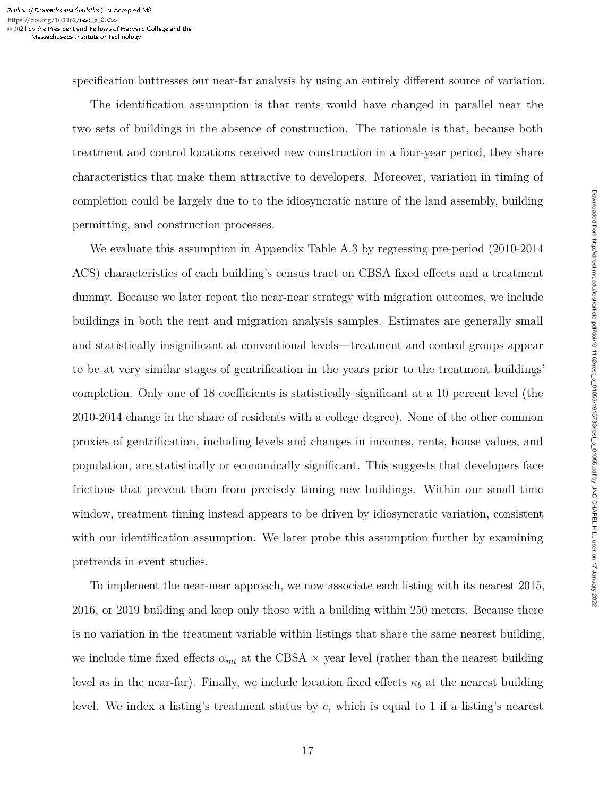specification buttresses our near-far analysis by using an entirely different source of variation.

The identification assumption is that rents would have changed in parallel near the two sets of buildings in the absence of construction. The rationale is that, because both treatment and control locations received new construction in a four-year period, they share characteristics that make them attractive to developers. Moreover, variation in timing of completion could be largely due to to the idiosyncratic nature of the land assembly, building permitting, and construction processes.

We evaluate this assumption in Appendix Table A.3 by regressing pre-period (2010-2014 ACS) characteristics of each building's census tract on CBSA fixed effects and a treatment dummy. Because we later repeat the near-near strategy with migration outcomes, we include buildings in both the rent and migration analysis samples. Estimates are generally small and statistically insignificant at conventional levels—treatment and control groups appear to be at very similar stages of gentrification in the years prior to the treatment buildings' completion. Only one of 18 coefficients is statistically significant at a 10 percent level (the 2010-2014 change in the share of residents with a college degree). None of the other common proxies of gentrification, including levels and changes in incomes, rents, house values, and population, are statistically or economically significant. This suggests that developers face frictions that prevent them from precisely timing new buildings. Within our small time window, treatment timing instead appears to be driven by idiosyncratic variation, consistent with our identification assumption. We later probe this assumption further by examining pretrends in event studies.

To implement the near-near approach, we now associate each listing with its nearest 2015, 2016, or 2019 building and keep only those with a building within 250 meters. Because there is no variation in the treatment variable within listings that share the same nearest building, we include time fixed effects  $\alpha_{mt}$  at the CBSA  $\times$  year level (rather than the nearest building level as in the near-far). Finally, we include location fixed effects  $\kappa_b$  at the nearest building level. We index a listing's treatment status by *c*, which is equal to 1 if a listing's nearest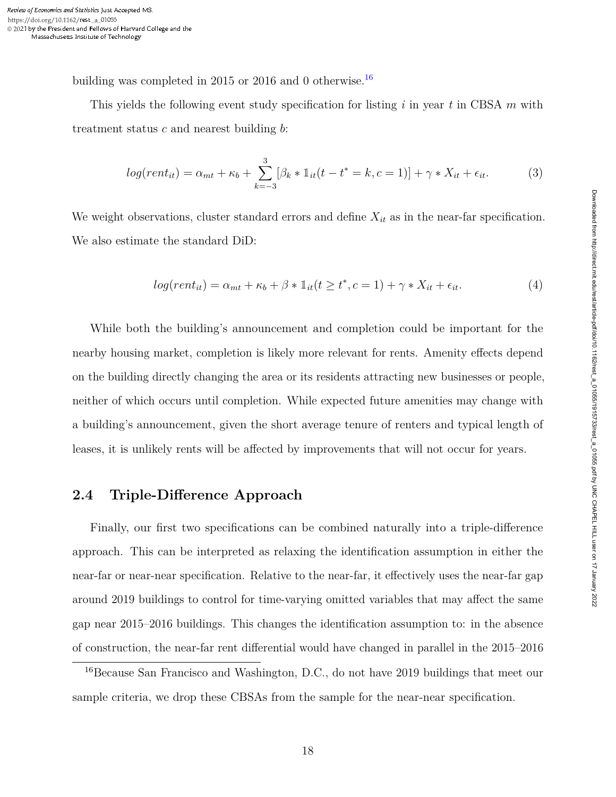building was completed in 2015 or 2016 and 0 otherwise.<sup>16</sup>

This yields the following event study specification for listing *i* in year *t* in CBSA *m* with treatment status *c* and nearest building *b*:

$$
log(rent_{it}) = \alpha_{mt} + \kappa_b + \sum_{k=-3}^{3} [\beta_k * 1_{it}(t - t^* = k, c = 1)] + \gamma * X_{it} + \epsilon_{it}.
$$
 (3)

We weight observations, cluster standard errors and define  $X_{it}$  as in the near-far specification. We also estimate the standard DiD:

$$
log(rent_{it}) = \alpha_{mt} + \kappa_b + \beta * 1_{it}(t \ge t^*, c = 1) + \gamma * X_{it} + \epsilon_{it}.
$$
\n
$$
(4)
$$

While both the building's announcement and completion could be important for the nearby housing market, completion is likely more relevant for rents. Amenity effects depend on the building directly changing the area or its residents attracting new businesses or people, neither of which occurs until completion. While expected future amenities may change with a building's announcement, given the short average tenure of renters and typical length of leases, it is unlikely rents will be affected by improvements that will not occur for years.

#### **2.4 Triple-Difference Approach**

Finally, our first two specifications can be combined naturally into a triple-difference approach. This can be interpreted as relaxing the identification assumption in either the near-far or near-near specification. Relative to the near-far, it effectively uses the near-far gap around 2019 buildings to control for time-varying omitted variables that may affect the same gap near 2015–2016 buildings. This changes the identification assumption to: in the absence of construction, the near-far rent differential would have changed in parallel in the 2015–2016

<sup>16</sup>Because San Francisco and Washington, D.C., do not have 2019 buildings that meet our sample criteria, we drop these CBSAs from the sample for the near-near specification.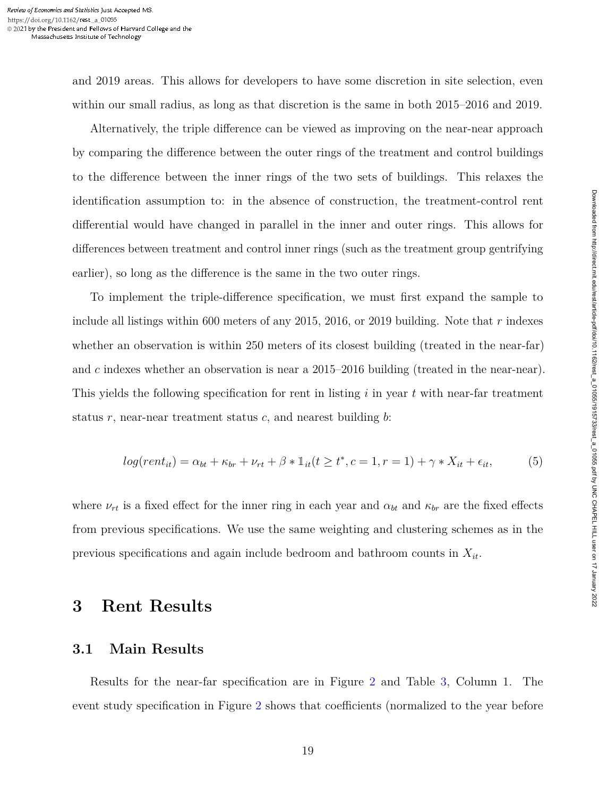and 2019 areas. This allows for developers to have some discretion in site selection, even within our small radius, as long as that discretion is the same in both 2015–2016 and 2019.

Alternatively, the triple difference can be viewed as improving on the near-near approach by comparing the difference between the outer rings of the treatment and control buildings to the difference between the inner rings of the two sets of buildings. This relaxes the identification assumption to: in the absence of construction, the treatment-control rent differential would have changed in parallel in the inner and outer rings. This allows for differences between treatment and control inner rings (such as the treatment group gentrifying earlier), so long as the difference is the same in the two outer rings.

To implement the triple-difference specification, we must first expand the sample to include all listings within 600 meters of any 2015, 2016, or 2019 building. Note that *r* indexes whether an observation is within 250 meters of its closest building (treated in the near-far) and *c* indexes whether an observation is near a 2015–2016 building (treated in the near-near). This yields the following specification for rent in listing *i* in year *t* with near-far treatment status *r*, near-near treatment status *c*, and nearest building *b*:

$$
log(rent_{it}) = \alpha_{bt} + \kappa_{br} + \nu_{rt} + \beta * 1_{it}(t \ge t^*, c = 1, r = 1) + \gamma * X_{it} + \epsilon_{it},
$$
 (5)

where  $\nu_{rt}$  is a fixed effect for the inner ring in each year and  $\alpha_{bt}$  and  $\kappa_{br}$  are the fixed effects from previous specifications. We use the same weighting and clustering schemes as in the previous specifications and again include bedroom and bathroom counts in *Xit*.

### **3 Rent Results**

#### **3.1 Main Results**

Results for the near-far specification are in Figure 2 and Table 3, Column 1. The event study specification in Figure 2 shows that coefficients (normalized to the year before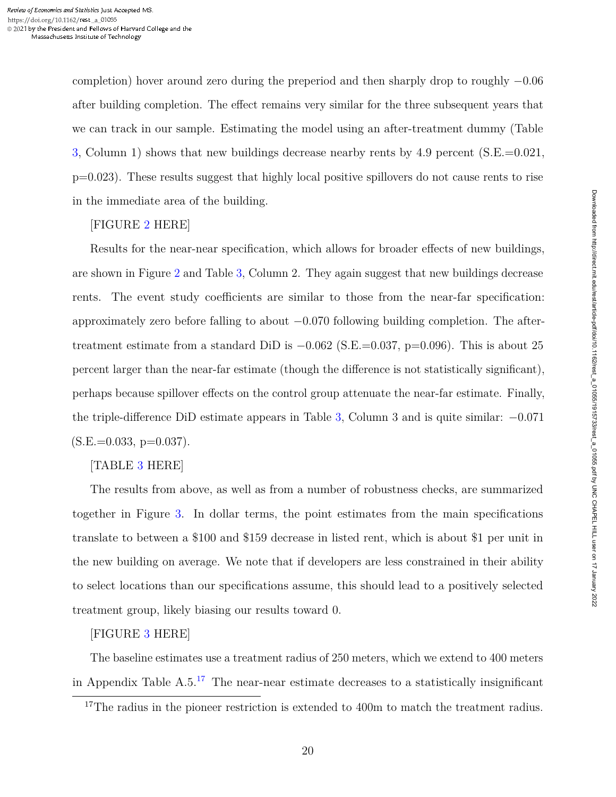completion) hover around zero during the preperiod and then sharply drop to roughly −0.06 after building completion. The effect remains very similar for the three subsequent years that we can track in our sample. Estimating the model using an after-treatment dummy (Table 3, Column 1) shows that new buildings decrease nearby rents by 4.9 percent (S.E.=0.021, p=0.023). These results suggest that highly local positive spillovers do not cause rents to rise in the immediate area of the building.

#### [FIGURE 2 HERE]

Results for the near-near specification, which allows for broader effects of new buildings, are shown in Figure 2 and Table 3, Column 2. They again suggest that new buildings decrease rents. The event study coefficients are similar to those from the near-far specification: approximately zero before falling to about −0.070 following building completion. The aftertreatment estimate from a standard DiD is  $-0.062$  (S.E.=0.037, p=0.096). This is about 25 percent larger than the near-far estimate (though the difference is not statistically significant), perhaps because spillover effects on the control group attenuate the near-far estimate. Finally, the triple-difference DiD estimate appears in Table 3, Column 3 and is quite similar: −0.071  $(S.E.=0.033, p=0.037).$ 

#### [TABLE 3 HERE]

The results from above, as well as from a number of robustness checks, are summarized together in Figure 3. In dollar terms, the point estimates from the main specifications translate to between a \$100 and \$159 decrease in listed rent, which is about \$1 per unit in the new building on average. We note that if developers are less constrained in their ability to select locations than our specifications assume, this should lead to a positively selected treatment group, likely biasing our results toward 0.

#### [FIGURE 3 HERE]

The baseline estimates use a treatment radius of 250 meters, which we extend to 400 meters in Appendix Table  $A.5<sup>17</sup>$  The near-near estimate decreases to a statistically insignificant

<sup>&</sup>lt;sup>17</sup>The radius in the pioneer restriction is extended to 400m to match the treatment radius.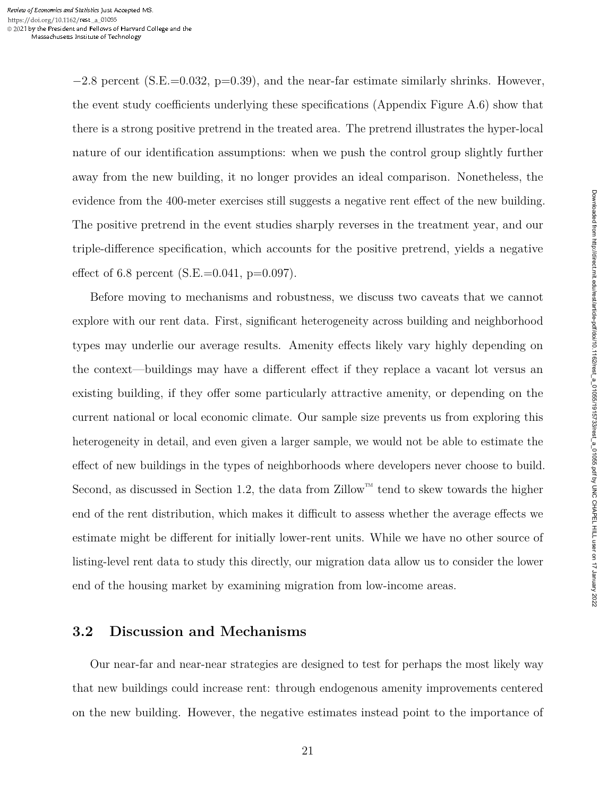−2.8 percent (S.E.=0.032, p=0.39), and the near-far estimate similarly shrinks. However, the event study coefficients underlying these specifications (Appendix Figure A.6) show that there is a strong positive pretrend in the treated area. The pretrend illustrates the hyper-local nature of our identification assumptions: when we push the control group slightly further away from the new building, it no longer provides an ideal comparison. Nonetheless, the evidence from the 400-meter exercises still suggests a negative rent effect of the new building. The positive pretrend in the event studies sharply reverses in the treatment year, and our triple-difference specification, which accounts for the positive pretrend, yields a negative effect of 6.8 percent  $(S.E.=0.041, p=0.097)$ .

Before moving to mechanisms and robustness, we discuss two caveats that we cannot explore with our rent data. First, significant heterogeneity across building and neighborhood types may underlie our average results. Amenity effects likely vary highly depending on the context—buildings may have a different effect if they replace a vacant lot versus an existing building, if they offer some particularly attractive amenity, or depending on the current national or local economic climate. Our sample size prevents us from exploring this heterogeneity in detail, and even given a larger sample, we would not be able to estimate the effect of new buildings in the types of neighborhoods where developers never choose to build. Second, as discussed in Section 1.2, the data from  $\mathbb{Z}$ illow<sup>™</sup> tend to skew towards the higher end of the rent distribution, which makes it difficult to assess whether the average effects we estimate might be different for initially lower-rent units. While we have no other source of listing-level rent data to study this directly, our migration data allow us to consider the lower end of the housing market by examining migration from low-income areas.

#### **3.2 Discussion and Mechanisms**

Our near-far and near-near strategies are designed to test for perhaps the most likely way that new buildings could increase rent: through endogenous amenity improvements centered on the new building. However, the negative estimates instead point to the importance of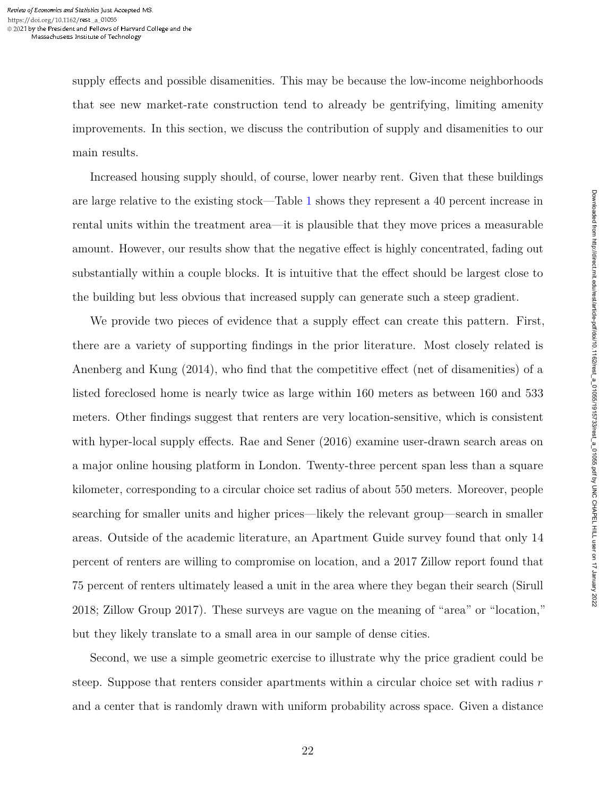supply effects and possible disamenities. This may be because the low-income neighborhoods that see new market-rate construction tend to already be gentrifying, limiting amenity improvements. In this section, we discuss the contribution of supply and disamenities to our main results.

Increased housing supply should, of course, lower nearby rent. Given that these buildings are large relative to the existing stock—Table 1 shows they represent a 40 percent increase in rental units within the treatment area—it is plausible that they move prices a measurable amount. However, our results show that the negative effect is highly concentrated, fading out substantially within a couple blocks. It is intuitive that the effect should be largest close to the building but less obvious that increased supply can generate such a steep gradient.

We provide two pieces of evidence that a supply effect can create this pattern. First, there are a variety of supporting findings in the prior literature. Most closely related is Anenberg and Kung (2014), who find that the competitive effect (net of disamenities) of a listed foreclosed home is nearly twice as large within 160 meters as between 160 and 533 meters. Other findings suggest that renters are very location-sensitive, which is consistent with hyper-local supply effects. Rae and Sener (2016) examine user-drawn search areas on a major online housing platform in London. Twenty-three percent span less than a square kilometer, corresponding to a circular choice set radius of about 550 meters. Moreover, people searching for smaller units and higher prices—likely the relevant group—search in smaller areas. Outside of the academic literature, an Apartment Guide survey found that only 14 percent of renters are willing to compromise on location, and a 2017 Zillow report found that 75 percent of renters ultimately leased a unit in the area where they began their search (Sirull 2018; Zillow Group 2017). These surveys are vague on the meaning of "area" or "location," but they likely translate to a small area in our sample of dense cities.

Second, we use a simple geometric exercise to illustrate why the price gradient could be steep. Suppose that renters consider apartments within a circular choice set with radius *r* and a center that is randomly drawn with uniform probability across space. Given a distance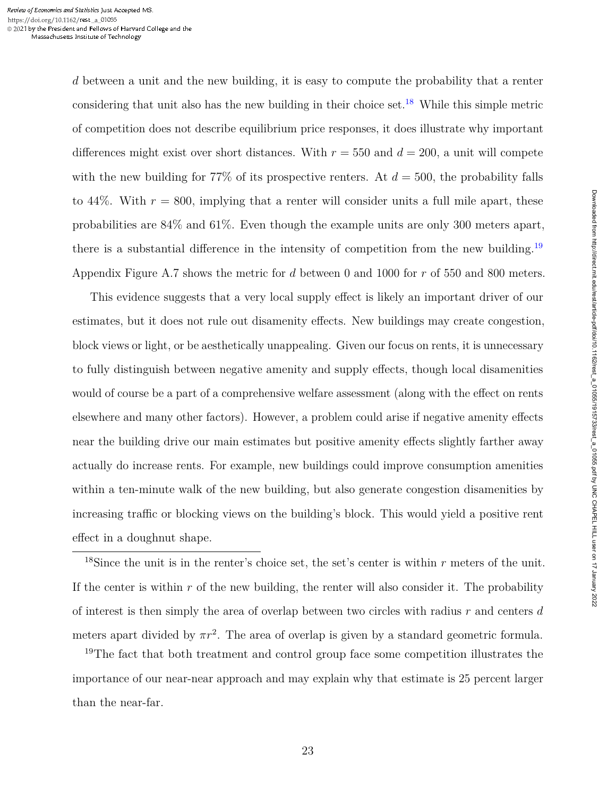*d* between a unit and the new building, it is easy to compute the probability that a renter considering that unit also has the new building in their choice set.<sup>18</sup> While this simple metric of competition does not describe equilibrium price responses, it does illustrate why important differences might exist over short distances. With  $r = 550$  and  $d = 200$ , a unit will compete with the new building for  $77\%$  of its prospective renters. At  $d = 500$ , the probability falls to  $44\%$ . With  $r = 800$ , implying that a renter will consider units a full mile apart, these probabilities are 84% and 61%. Even though the example units are only 300 meters apart, there is a substantial difference in the intensity of competition from the new building.<sup>19</sup> Appendix Figure A.7 shows the metric for *d* between 0 and 1000 for *r* of 550 and 800 meters.

This evidence suggests that a very local supply effect is likely an important driver of our estimates, but it does not rule out disamenity effects. New buildings may create congestion, block views or light, or be aesthetically unappealing. Given our focus on rents, it is unnecessary to fully distinguish between negative amenity and supply effects, though local disamenities would of course be a part of a comprehensive welfare assessment (along with the effect on rents elsewhere and many other factors). However, a problem could arise if negative amenity effects near the building drive our main estimates but positive amenity effects slightly farther away actually do increase rents. For example, new buildings could improve consumption amenities within a ten-minute walk of the new building, but also generate congestion disamenities by increasing traffic or blocking views on the building's block. This would yield a positive rent effect in a doughnut shape.

<sup>18</sup>Since the unit is in the renter's choice set, the set's center is within  $r$  meters of the unit. If the center is within  $r$  of the new building, the renter will also consider it. The probability of interest is then simply the area of overlap between two circles with radius *r* and centers *d* meters apart divided by  $\pi r^2$ . The area of overlap is given by a standard geometric formula.

<sup>19</sup>The fact that both treatment and control group face some competition illustrates the importance of our near-near approach and may explain why that estimate is 25 percent larger than the near-far.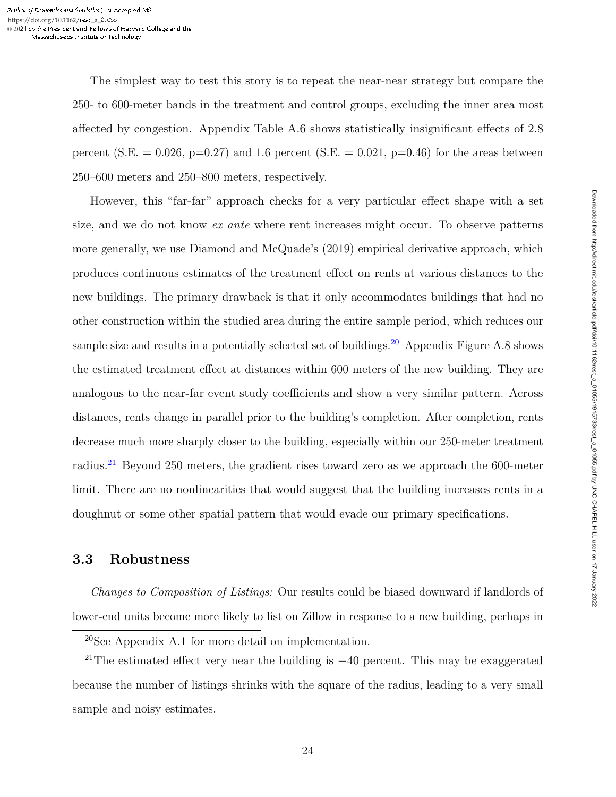The simplest way to test this story is to repeat the near-near strategy but compare the 250- to 600-meter bands in the treatment and control groups, excluding the inner area most affected by congestion. Appendix Table A.6 shows statistically insignificant effects of 2.8 percent (S.E.  $= 0.026$ , p=0.27) and 1.6 percent (S.E.  $= 0.021$ , p=0.46) for the areas between 250–600 meters and 250–800 meters, respectively.

However, this "far-far" approach checks for a very particular effect shape with a set size, and we do not know *ex ante* where rent increases might occur. To observe patterns more generally, we use Diamond and McQuade's (2019) empirical derivative approach, which produces continuous estimates of the treatment effect on rents at various distances to the new buildings. The primary drawback is that it only accommodates buildings that had no other construction within the studied area during the entire sample period, which reduces our sample size and results in a potentially selected set of buildings.<sup>20</sup> Appendix Figure A.8 shows the estimated treatment effect at distances within 600 meters of the new building. They are analogous to the near-far event study coefficients and show a very similar pattern. Across distances, rents change in parallel prior to the building's completion. After completion, rents decrease much more sharply closer to the building, especially within our 250-meter treatment radius.<sup>21</sup> Beyond 250 meters, the gradient rises toward zero as we approach the 600-meter limit. There are no nonlinearities that would suggest that the building increases rents in a doughnut or some other spatial pattern that would evade our primary specifications.

#### **3.3 Robustness**

*Changes to Composition of Listings:* Our results could be biased downward if landlords of lower-end units become more likely to list on Zillow in response to a new building, perhaps in

<sup>20</sup>See Appendix A.1 for more detail on implementation.

<sup>&</sup>lt;sup>21</sup>The estimated effect very near the building is  $-40$  percent. This may be exaggerated because the number of listings shrinks with the square of the radius, leading to a very small sample and noisy estimates.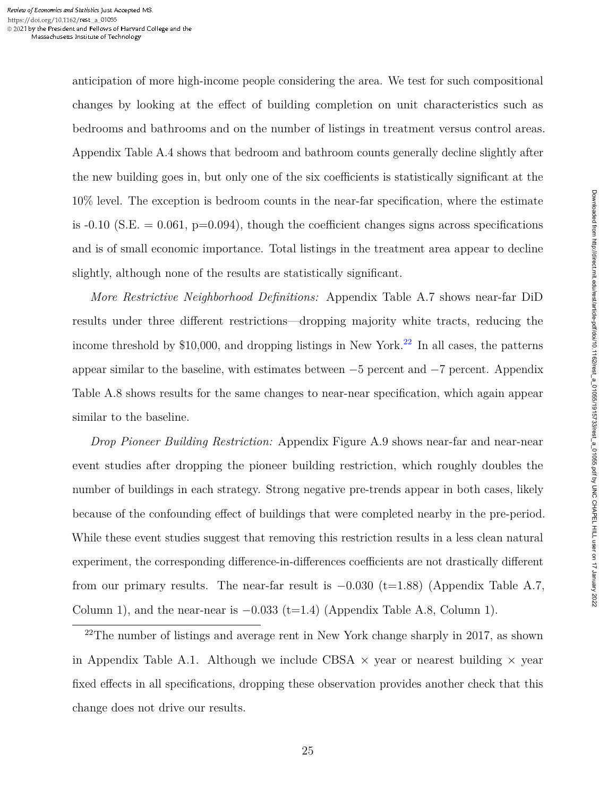anticipation of more high-income people considering the area. We test for such compositional changes by looking at the effect of building completion on unit characteristics such as bedrooms and bathrooms and on the number of listings in treatment versus control areas. Appendix Table A.4 shows that bedroom and bathroom counts generally decline slightly after the new building goes in, but only one of the six coefficients is statistically significant at the 10% level. The exception is bedroom counts in the near-far specification, where the estimate is  $-0.10$  (S.E.  $= 0.061$ ,  $p=0.094$ ), though the coefficient changes signs across specifications and is of small economic importance. Total listings in the treatment area appear to decline slightly, although none of the results are statistically significant.

*More Restrictive Neighborhood Definitions:* Appendix Table A.7 shows near-far DiD results under three different restrictions—dropping majority white tracts, reducing the income threshold by  $$10,000$ , and dropping listings in New York.<sup>22</sup> In all cases, the patterns appear similar to the baseline, with estimates between −5 percent and −7 percent. Appendix Table A.8 shows results for the same changes to near-near specification, which again appear similar to the baseline.

*Drop Pioneer Building Restriction:* Appendix Figure A.9 shows near-far and near-near event studies after dropping the pioneer building restriction, which roughly doubles the number of buildings in each strategy. Strong negative pre-trends appear in both cases, likely because of the confounding effect of buildings that were completed nearby in the pre-period. While these event studies suggest that removing this restriction results in a less clean natural experiment, the corresponding difference-in-differences coefficients are not drastically different from our primary results. The near-far result is  $-0.030$  (t=1.88) (Appendix Table A.7, Column 1), and the near-near is  $-0.033$  (t=1.4) (Appendix Table A.8, Column 1).

<sup>22</sup>The number of listings and average rent in New York change sharply in 2017, as shown in Appendix Table A.1. Although we include CBSA  $\times$  year or nearest building  $\times$  year fixed effects in all specifications, dropping these observation provides another check that this change does not drive our results.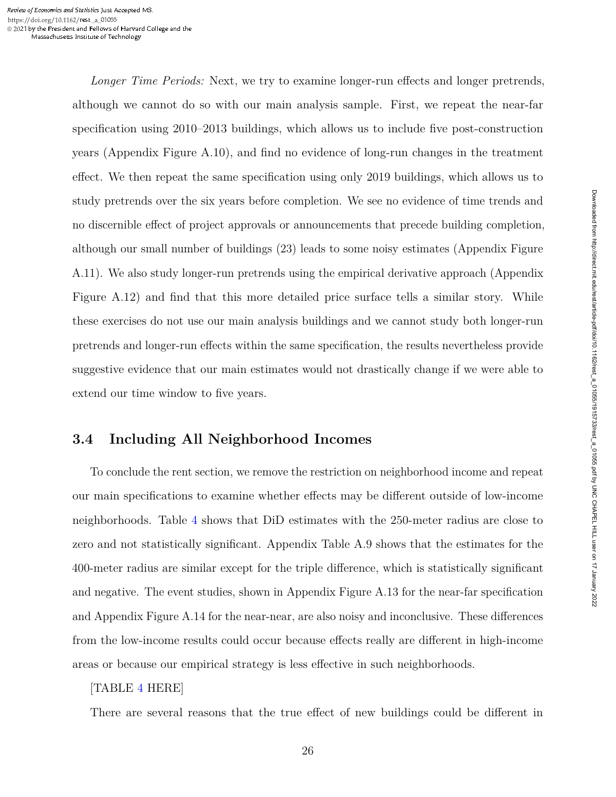*Longer Time Periods:* Next, we try to examine longer-run effects and longer pretrends, although we cannot do so with our main analysis sample. First, we repeat the near-far specification using 2010–2013 buildings, which allows us to include five post-construction years (Appendix Figure A.10), and find no evidence of long-run changes in the treatment effect. We then repeat the same specification using only 2019 buildings, which allows us to study pretrends over the six years before completion. We see no evidence of time trends and no discernible effect of project approvals or announcements that precede building completion, although our small number of buildings (23) leads to some noisy estimates (Appendix Figure A.11). We also study longer-run pretrends using the empirical derivative approach (Appendix Figure A.12) and find that this more detailed price surface tells a similar story. While these exercises do not use our main analysis buildings and we cannot study both longer-run pretrends and longer-run effects within the same specification, the results nevertheless provide suggestive evidence that our main estimates would not drastically change if we were able to extend our time window to five years.

#### **3.4 Including All Neighborhood Incomes**

To conclude the rent section, we remove the restriction on neighborhood income and repeat our main specifications to examine whether effects may be different outside of low-income neighborhoods. Table 4 shows that DiD estimates with the 250-meter radius are close to zero and not statistically significant. Appendix Table A.9 shows that the estimates for the 400-meter radius are similar except for the triple difference, which is statistically significant and negative. The event studies, shown in Appendix Figure A.13 for the near-far specification and Appendix Figure A.14 for the near-near, are also noisy and inconclusive. These differences from the low-income results could occur because effects really are different in high-income areas or because our empirical strategy is less effective in such neighborhoods.

#### [TABLE 4 HERE]

There are several reasons that the true effect of new buildings could be different in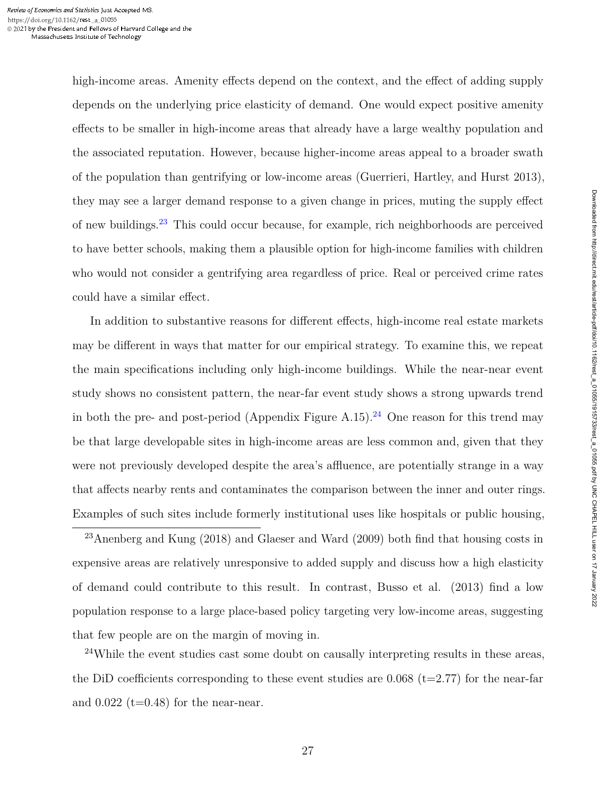high-income areas. Amenity effects depend on the context, and the effect of adding supply depends on the underlying price elasticity of demand. One would expect positive amenity effects to be smaller in high-income areas that already have a large wealthy population and the associated reputation. However, because higher-income areas appeal to a broader swath of the population than gentrifying or low-income areas (Guerrieri, Hartley, and Hurst 2013), they may see a larger demand response to a given change in prices, muting the supply effect of new buildings.<sup>23</sup> This could occur because, for example, rich neighborhoods are perceived to have better schools, making them a plausible option for high-income families with children who would not consider a gentrifying area regardless of price. Real or perceived crime rates could have a similar effect.

In addition to substantive reasons for different effects, high-income real estate markets may be different in ways that matter for our empirical strategy. To examine this, we repeat the main specifications including only high-income buildings. While the near-near event study shows no consistent pattern, the near-far event study shows a strong upwards trend in both the pre- and post-period (Appendix Figure A.15).<sup>24</sup> One reason for this trend may be that large developable sites in high-income areas are less common and, given that they were not previously developed despite the area's affluence, are potentially strange in a way that affects nearby rents and contaminates the comparison between the inner and outer rings. Examples of such sites include formerly institutional uses like hospitals or public housing,

<sup>23</sup>Anenberg and Kung (2018) and Glaeser and Ward (2009) both find that housing costs in expensive areas are relatively unresponsive to added supply and discuss how a high elasticity of demand could contribute to this result. In contrast, Busso et al. (2013) find a low population response to a large place-based policy targeting very low-income areas, suggesting that few people are on the margin of moving in.

<sup>24</sup>While the event studies cast some doubt on causally interpreting results in these areas, the DiD coefficients corresponding to these event studies are  $0.068$  (t=2.77) for the near-far and  $0.022$  (t=0.48) for the near-near.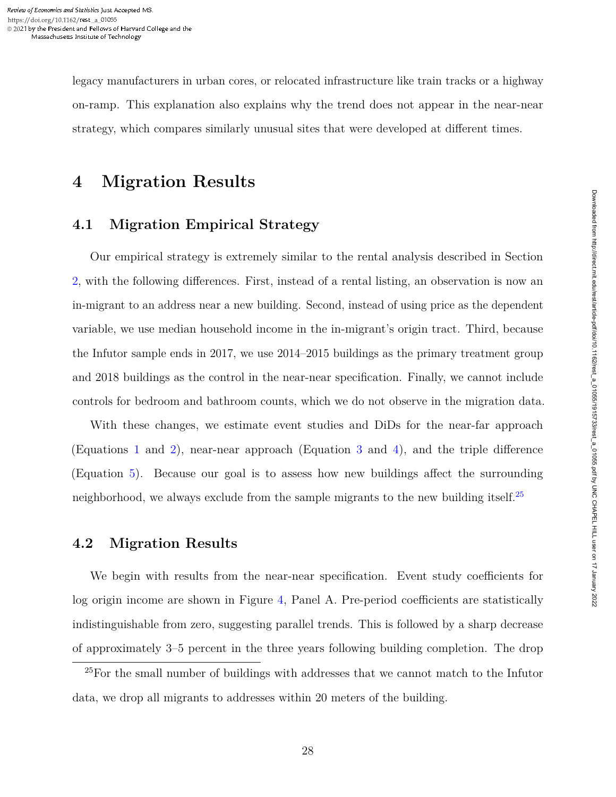legacy manufacturers in urban cores, or relocated infrastructure like train tracks or a highway on-ramp. This explanation also explains why the trend does not appear in the near-near strategy, which compares similarly unusual sites that were developed at different times.

## **4 Migration Results**

#### **4.1 Migration Empirical Strategy**

Our empirical strategy is extremely similar to the rental analysis described in Section 2, with the following differences. First, instead of a rental listing, an observation is now an in-migrant to an address near a new building. Second, instead of using price as the dependent variable, we use median household income in the in-migrant's origin tract. Third, because the Infutor sample ends in 2017, we use 2014–2015 buildings as the primary treatment group and 2018 buildings as the control in the near-near specification. Finally, we cannot include controls for bedroom and bathroom counts, which we do not observe in the migration data.

With these changes, we estimate event studies and DiDs for the near-far approach (Equations 1 and 2), near-near approach (Equation 3 and 4), and the triple difference (Equation 5). Because our goal is to assess how new buildings affect the surrounding neighborhood, we always exclude from the sample migrants to the new building itself.<sup>25</sup>

#### **4.2 Migration Results**

We begin with results from the near-near specification. Event study coefficients for log origin income are shown in Figure 4, Panel A. Pre-period coefficients are statistically indistinguishable from zero, suggesting parallel trends. This is followed by a sharp decrease of approximately 3–5 percent in the three years following building completion. The drop

<sup>&</sup>lt;sup>25</sup>For the small number of buildings with addresses that we cannot match to the Infutor data, we drop all migrants to addresses within 20 meters of the building.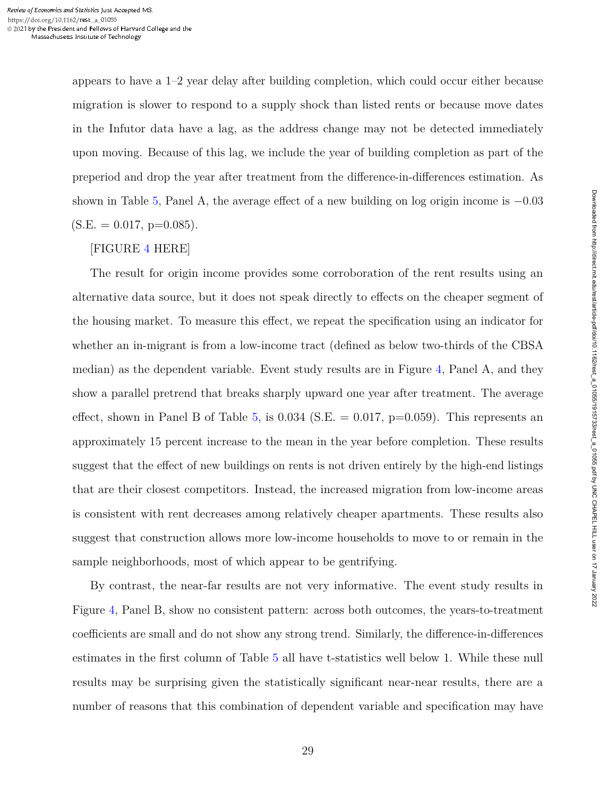appears to have a 1–2 year delay after building completion, which could occur either because migration is slower to respond to a supply shock than listed rents or because move dates in the Infutor data have a lag, as the address change may not be detected immediately upon moving. Because of this lag, we include the year of building completion as part of the preperiod and drop the year after treatment from the difference-in-differences estimation. As shown in Table 5, Panel A, the average effect of a new building on log origin income is  $-0.03$  $(S.E. = 0.017, p=0.085).$ 

#### [FIGURE 4 HERE]

The result for origin income provides some corroboration of the rent results using an alternative data source, but it does not speak directly to effects on the cheaper segment of the housing market. To measure this effect, we repeat the specification using an indicator for whether an in-migrant is from a low-income tract (defined as below two-thirds of the CBSA median) as the dependent variable. Event study results are in Figure 4, Panel A, and they show a parallel pretrend that breaks sharply upward one year after treatment. The average effect, shown in Panel B of Table 5, is  $0.034$  (S.E.  $= 0.017$ , p=0.059). This represents an approximately 15 percent increase to the mean in the year before completion. These results suggest that the effect of new buildings on rents is not driven entirely by the high-end listings that are their closest competitors. Instead, the increased migration from low-income areas is consistent with rent decreases among relatively cheaper apartments. These results also suggest that construction allows more low-income households to move to or remain in the sample neighborhoods, most of which appear to be gentrifying.

By contrast, the near-far results are not very informative. The event study results in Figure 4, Panel B, show no consistent pattern: across both outcomes, the years-to-treatment coefficients are small and do not show any strong trend. Similarly, the difference-in-differences estimates in the first column of Table 5 all have t-statistics well below 1. While these null results may be surprising given the statistically significant near-near results, there are a number of reasons that this combination of dependent variable and specification may have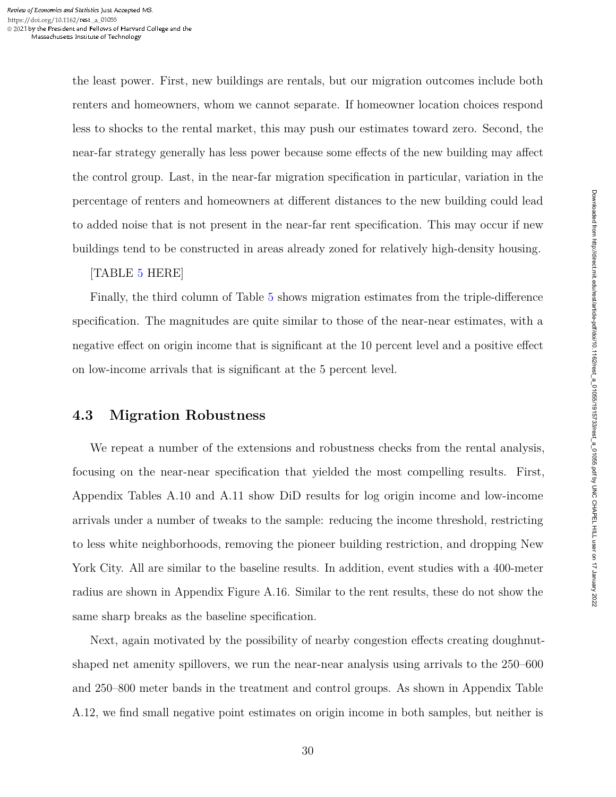the least power. First, new buildings are rentals, but our migration outcomes include both renters and homeowners, whom we cannot separate. If homeowner location choices respond less to shocks to the rental market, this may push our estimates toward zero. Second, the near-far strategy generally has less power because some effects of the new building may affect the control group. Last, in the near-far migration specification in particular, variation in the percentage of renters and homeowners at different distances to the new building could lead to added noise that is not present in the near-far rent specification. This may occur if new buildings tend to be constructed in areas already zoned for relatively high-density housing.

#### [TABLE 5 HERE]

Finally, the third column of Table 5 shows migration estimates from the triple-difference specification. The magnitudes are quite similar to those of the near-near estimates, with a negative effect on origin income that is significant at the 10 percent level and a positive effect on low-income arrivals that is significant at the 5 percent level.

#### **4.3 Migration Robustness**

We repeat a number of the extensions and robustness checks from the rental analysis, focusing on the near-near specification that yielded the most compelling results. First, Appendix Tables A.10 and A.11 show DiD results for log origin income and low-income arrivals under a number of tweaks to the sample: reducing the income threshold, restricting to less white neighborhoods, removing the pioneer building restriction, and dropping New York City. All are similar to the baseline results. In addition, event studies with a 400-meter radius are shown in Appendix Figure A.16. Similar to the rent results, these do not show the same sharp breaks as the baseline specification.

Next, again motivated by the possibility of nearby congestion effects creating doughnutshaped net amenity spillovers, we run the near-near analysis using arrivals to the 250–600 and 250–800 meter bands in the treatment and control groups. As shown in Appendix Table A.12, we find small negative point estimates on origin income in both samples, but neither is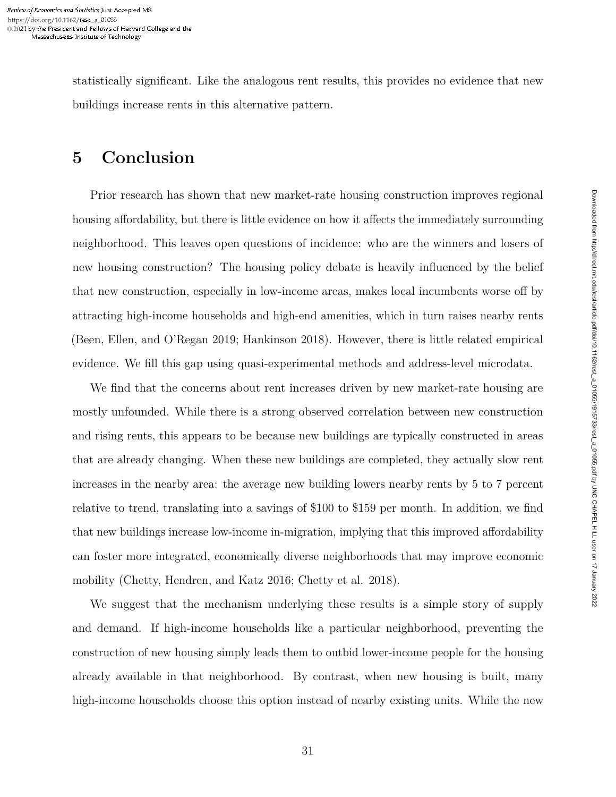statistically significant. Like the analogous rent results, this provides no evidence that new buildings increase rents in this alternative pattern.

## **5 Conclusion**

Prior research has shown that new market-rate housing construction improves regional housing affordability, but there is little evidence on how it affects the immediately surrounding neighborhood. This leaves open questions of incidence: who are the winners and losers of new housing construction? The housing policy debate is heavily influenced by the belief that new construction, especially in low-income areas, makes local incumbents worse off by attracting high-income households and high-end amenities, which in turn raises nearby rents (Been, Ellen, and O'Regan 2019; Hankinson 2018). However, there is little related empirical evidence. We fill this gap using quasi-experimental methods and address-level microdata.

We find that the concerns about rent increases driven by new market-rate housing are mostly unfounded. While there is a strong observed correlation between new construction and rising rents, this appears to be because new buildings are typically constructed in areas that are already changing. When these new buildings are completed, they actually slow rent increases in the nearby area: the average new building lowers nearby rents by 5 to 7 percent relative to trend, translating into a savings of \$100 to \$159 per month. In addition, we find that new buildings increase low-income in-migration, implying that this improved affordability can foster more integrated, economically diverse neighborhoods that may improve economic mobility (Chetty, Hendren, and Katz 2016; Chetty et al. 2018).

We suggest that the mechanism underlying these results is a simple story of supply and demand. If high-income households like a particular neighborhood, preventing the construction of new housing simply leads them to outbid lower-income people for the housing already available in that neighborhood. By contrast, when new housing is built, many high-income households choose this option instead of nearby existing units. While the new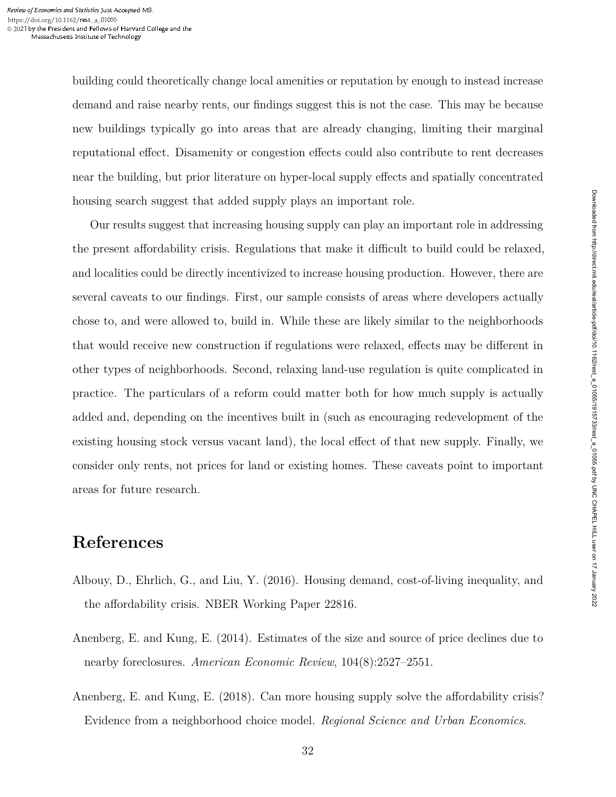building could theoretically change local amenities or reputation by enough to instead increase demand and raise nearby rents, our findings suggest this is not the case. This may be because new buildings typically go into areas that are already changing, limiting their marginal reputational effect. Disamenity or congestion effects could also contribute to rent decreases near the building, but prior literature on hyper-local supply effects and spatially concentrated housing search suggest that added supply plays an important role.

Our results suggest that increasing housing supply can play an important role in addressing the present affordability crisis. Regulations that make it difficult to build could be relaxed, and localities could be directly incentivized to increase housing production. However, there are several caveats to our findings. First, our sample consists of areas where developers actually chose to, and were allowed to, build in. While these are likely similar to the neighborhoods that would receive new construction if regulations were relaxed, effects may be different in other types of neighborhoods. Second, relaxing land-use regulation is quite complicated in practice. The particulars of a reform could matter both for how much supply is actually added and, depending on the incentives built in (such as encouraging redevelopment of the existing housing stock versus vacant land), the local effect of that new supply. Finally, we consider only rents, not prices for land or existing homes. These caveats point to important areas for future research.

### **References**

- Albouy, D., Ehrlich, G., and Liu, Y. (2016). Housing demand, cost-of-living inequality, and the affordability crisis. NBER Working Paper 22816.
- Anenberg, E. and Kung, E. (2014). Estimates of the size and source of price declines due to nearby foreclosures. *American Economic Review*, 104(8):2527–2551.
- Anenberg, E. and Kung, E. (2018). Can more housing supply solve the affordability crisis? Evidence from a neighborhood choice model. *Regional Science and Urban Economics*.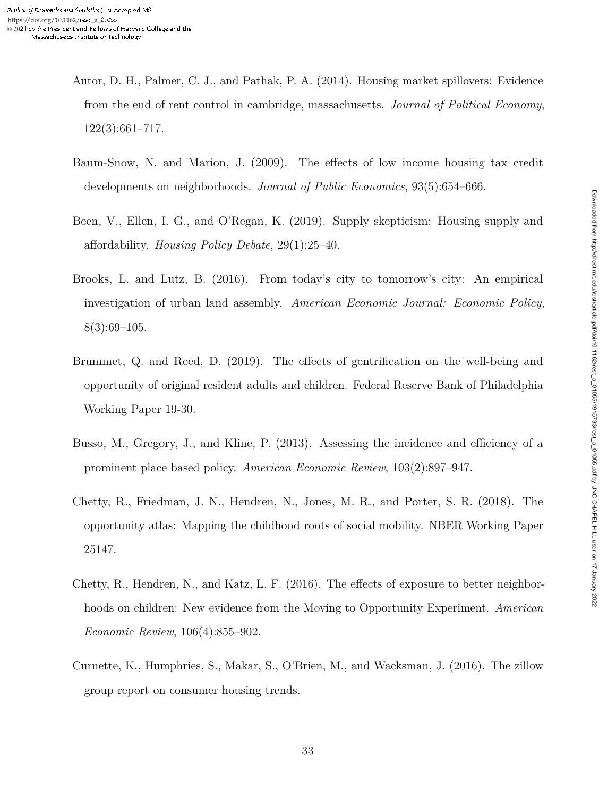- Autor, D. H., Palmer, C. J., and Pathak, P. A. (2014). Housing market spillovers: Evidence from the end of rent control in cambridge, massachusetts. *Journal of Political Economy*, 122(3):661–717.
- Baum-Snow, N. and Marion, J. (2009). The effects of low income housing tax credit developments on neighborhoods. *Journal of Public Economics*, 93(5):654–666.
- Been, V., Ellen, I. G., and O'Regan, K. (2019). Supply skepticism: Housing supply and affordability. *Housing Policy Debate*, 29(1):25–40.
- Brooks, L. and Lutz, B. (2016). From today's city to tomorrow's city: An empirical investigation of urban land assembly. *American Economic Journal: Economic Policy*,  $8(3):69-105.$
- Brummet, Q. and Reed, D. (2019). The effects of gentrification on the well-being and opportunity of original resident adults and children. Federal Reserve Bank of Philadelphia Working Paper 19-30.
- Busso, M., Gregory, J., and Kline, P. (2013). Assessing the incidence and efficiency of a prominent place based policy. *American Economic Review*, 103(2):897–947.
- Chetty, R., Friedman, J. N., Hendren, N., Jones, M. R., and Porter, S. R. (2018). The opportunity atlas: Mapping the childhood roots of social mobility. NBER Working Paper 25147.
- Chetty, R., Hendren, N., and Katz, L. F. (2016). The effects of exposure to better neighborhoods on children: New evidence from the Moving to Opportunity Experiment. *American Economic Review*, 106(4):855–902.
- Curnette, K., Humphries, S., Makar, S., O'Brien, M., and Wacksman, J. (2016). The zillow group report on consumer housing trends.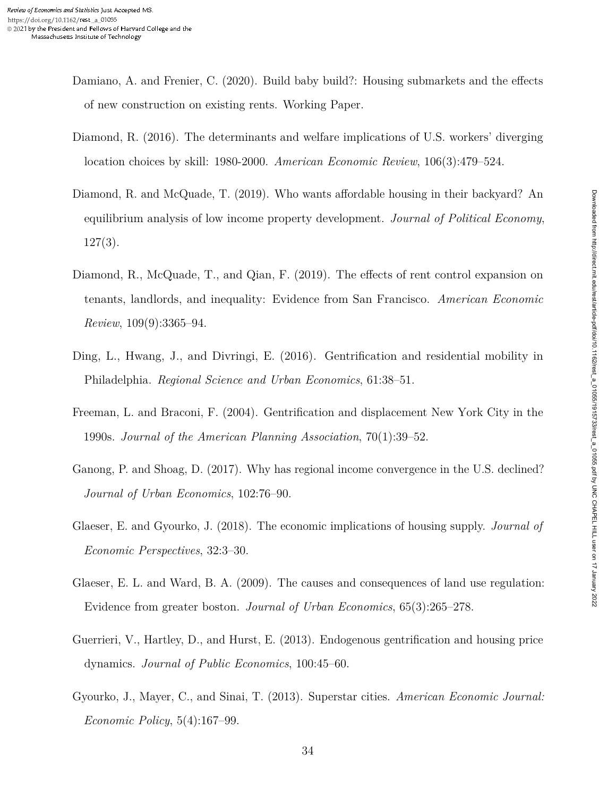- Damiano, A. and Frenier, C. (2020). Build baby build?: Housing submarkets and the effects of new construction on existing rents. Working Paper.
- Diamond, R. (2016). The determinants and welfare implications of U.S. workers' diverging location choices by skill: 1980-2000. *American Economic Review*, 106(3):479–524.
- Diamond, R. and McQuade, T. (2019). Who wants affordable housing in their backyard? An equilibrium analysis of low income property development. *Journal of Political Economy*, 127(3).
- Diamond, R., McQuade, T., and Qian, F. (2019). The effects of rent control expansion on tenants, landlords, and inequality: Evidence from San Francisco. *American Economic Review*, 109(9):3365–94.
- Ding, L., Hwang, J., and Divringi, E. (2016). Gentrification and residential mobility in Philadelphia. *Regional Science and Urban Economics*, 61:38–51.
- Freeman, L. and Braconi, F. (2004). Gentrification and displacement New York City in the 1990s. *Journal of the American Planning Association*, 70(1):39–52.
- Ganong, P. and Shoag, D. (2017). Why has regional income convergence in the U.S. declined? *Journal of Urban Economics*, 102:76–90.
- Glaeser, E. and Gyourko, J. (2018). The economic implications of housing supply. *Journal of Economic Perspectives*, 32:3–30.
- Glaeser, E. L. and Ward, B. A. (2009). The causes and consequences of land use regulation: Evidence from greater boston. *Journal of Urban Economics*, 65(3):265–278.
- Guerrieri, V., Hartley, D., and Hurst, E. (2013). Endogenous gentrification and housing price dynamics. *Journal of Public Economics*, 100:45–60.
- Gyourko, J., Mayer, C., and Sinai, T. (2013). Superstar cities. *American Economic Journal: Economic Policy*, 5(4):167–99.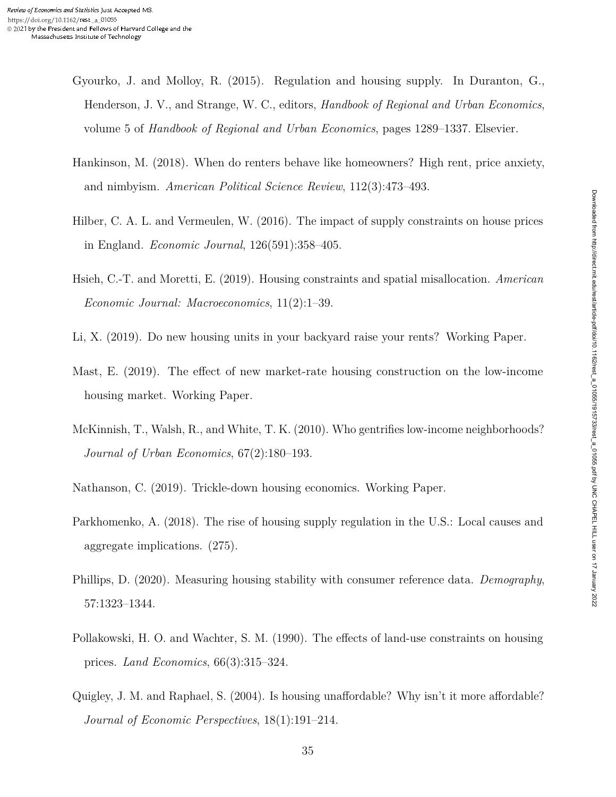- Gyourko, J. and Molloy, R. (2015). Regulation and housing supply. In Duranton, G., Henderson, J. V., and Strange, W. C., editors, *Handbook of Regional and Urban Economics*, volume 5 of *Handbook of Regional and Urban Economics*, pages 1289–1337. Elsevier.
- Hankinson, M. (2018). When do renters behave like homeowners? High rent, price anxiety, and nimbyism. *American Political Science Review*, 112(3):473–493.
- Hilber, C. A. L. and Vermeulen, W. (2016). The impact of supply constraints on house prices in England. *Economic Journal*, 126(591):358–405.
- Hsieh, C.-T. and Moretti, E. (2019). Housing constraints and spatial misallocation. *American Economic Journal: Macroeconomics*, 11(2):1–39.
- Li, X. (2019). Do new housing units in your backyard raise your rents? Working Paper.
- Mast, E. (2019). The effect of new market-rate housing construction on the low-income housing market. Working Paper.
- McKinnish, T., Walsh, R., and White, T. K. (2010). Who gentrifies low-income neighborhoods? *Journal of Urban Economics*, 67(2):180–193.
- Nathanson, C. (2019). Trickle-down housing economics. Working Paper.
- Parkhomenko, A. (2018). The rise of housing supply regulation in the U.S.: Local causes and aggregate implications. (275).
- Phillips, D. (2020). Measuring housing stability with consumer reference data. *Demography*, 57:1323–1344.
- Pollakowski, H. O. and Wachter, S. M. (1990). The effects of land-use constraints on housing prices. *Land Economics*, 66(3):315–324.
- Quigley, J. M. and Raphael, S. (2004). Is housing unaffordable? Why isn't it more affordable? *Journal of Economic Perspectives*, 18(1):191–214.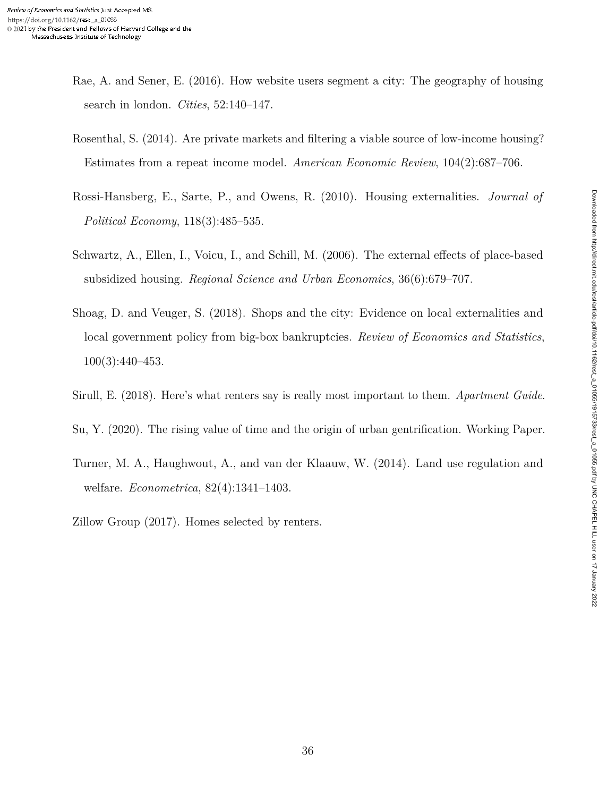- Rae, A. and Sener, E. (2016). How website users segment a city: The geography of housing search in london. *Cities*, 52:140–147.
- Rosenthal, S. (2014). Are private markets and filtering a viable source of low-income housing? Estimates from a repeat income model. *American Economic Review*, 104(2):687–706.
- Rossi-Hansberg, E., Sarte, P., and Owens, R. (2010). Housing externalities. *Journal of Political Economy*, 118(3):485–535.
- Schwartz, A., Ellen, I., Voicu, I., and Schill, M. (2006). The external effects of place-based subsidized housing. *Regional Science and Urban Economics*, 36(6):679–707.
- Shoag, D. and Veuger, S. (2018). Shops and the city: Evidence on local externalities and local government policy from big-box bankruptcies. *Review of Economics and Statistics*, 100(3):440–453.
- Sirull, E. (2018). Here's what renters say is really most important to them. *Apartment Guide*.
- Su, Y. (2020). The rising value of time and the origin of urban gentrification. Working Paper.
- Turner, M. A., Haughwout, A., and van der Klaauw, W. (2014). Land use regulation and welfare. *Econometrica*, 82(4):1341–1403.
- Zillow Group (2017). Homes selected by renters.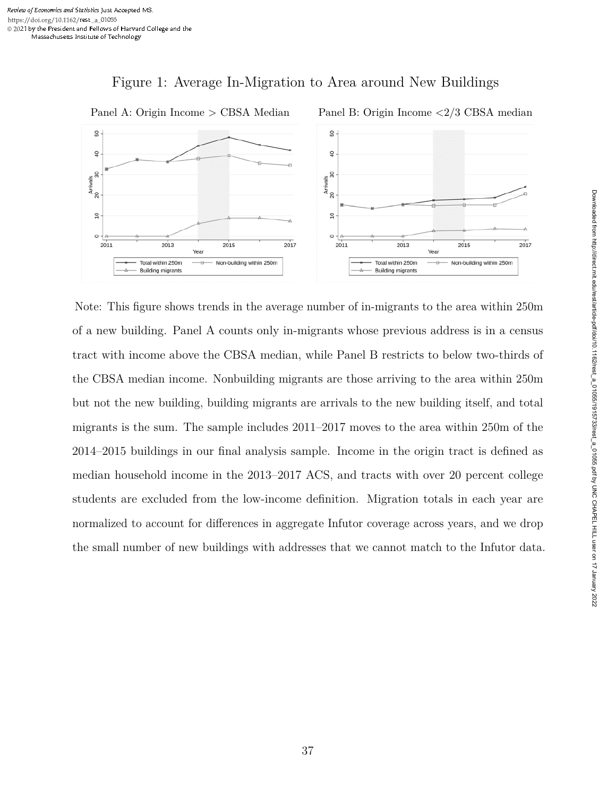

#### Figure 1: Average In-Migration to Area around New Buildings

Note: This figure shows trends in the average number of in-migrants to the area within 250m of a new building. Panel A counts only in-migrants whose previous address is in a census tract with income above the CBSA median, while Panel B restricts to below two-thirds of the CBSA median income. Nonbuilding migrants are those arriving to the area within 250m but not the new building, building migrants are arrivals to the new building itself, and total migrants is the sum. The sample includes 2011–2017 moves to the area within 250m of the 2014–2015 buildings in our final analysis sample. Income in the origin tract is defined as median household income in the 2013–2017 ACS, and tracts with over 20 percent college students are excluded from the low-income definition. Migration totals in each year are normalized to account for differences in aggregate Infutor coverage across years, and we drop the small number of new buildings with addresses that we cannot match to the Infutor data.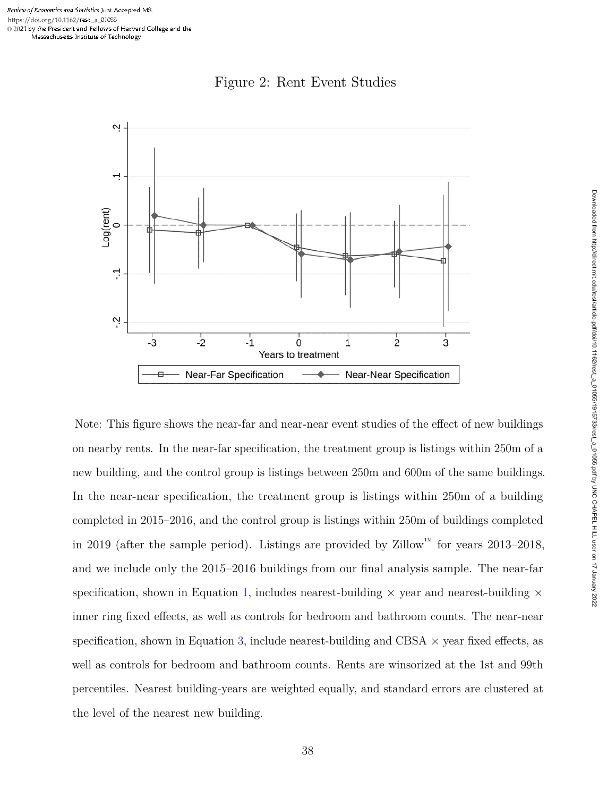

#### Figure 2: Rent Event Studies

Note: This figure shows the near-far and near-near event studies of the effect of new buildings on nearby rents. In the near-far specification, the treatment group is listings within 250m of a new building, and the control group is listings between 250m and 600m of the same buildings. In the near-near specification, the treatment group is listings within 250m of a building completed in 2015–2016, and the control group is listings within 250m of buildings completed in 2019 (after the sample period). Listings are provided by Zillow<sup>™</sup> for years 2013–2018, and we include only the 2015–2016 buildings from our final analysis sample. The near-far specification, shown in Equation 1, includes nearest-building  $\times$  year and nearest-building  $\times$ inner ring fixed effects, as well as controls for bedroom and bathroom counts. The near-near specification, shown in Equation 3, include nearest-building and CBSA  $\times$  year fixed effects, as well as controls for bedroom and bathroom counts. Rents are winsorized at the 1st and 99th percentiles. Nearest building-years are weighted equally, and standard errors are clustered at the level of the nearest new building.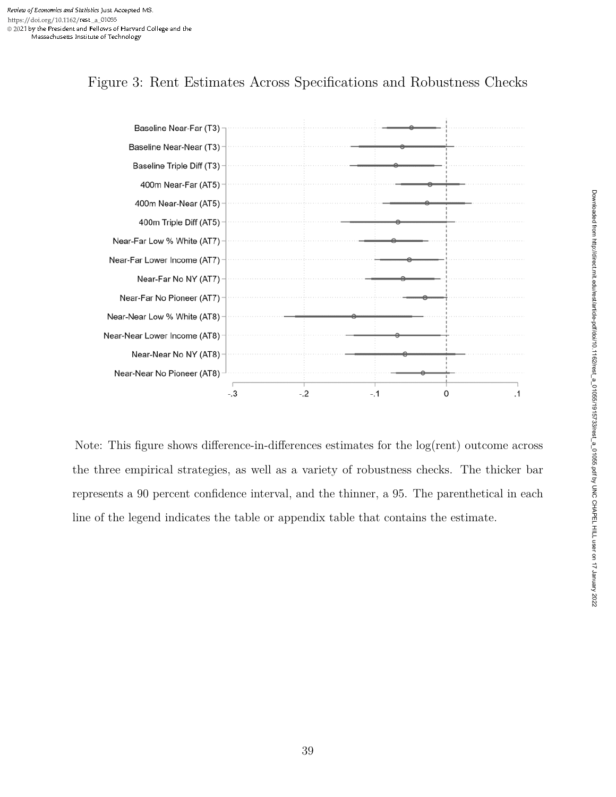### Figure 3: Rent Estimates Across Specifications and Robustness Checks



Note: This figure shows difference-in-differences estimates for the log(rent) outcome across the three empirical strategies, as well as a variety of robustness checks. The thicker bar represents a 90 percent confidence interval, and the thinner, a 95. The parenthetical in each line of the legend indicates the table or appendix table that contains the estimate.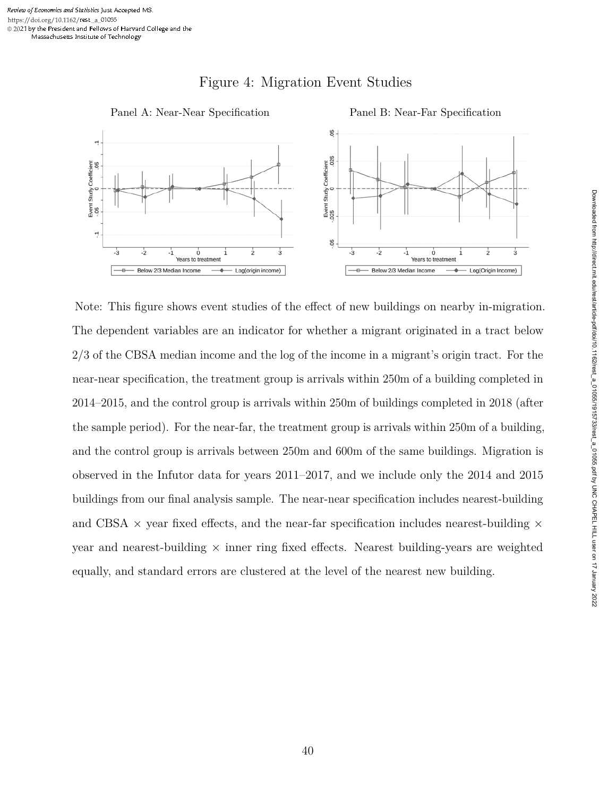### Figure 4: Migration Event Studies



Note: This figure shows event studies of the effect of new buildings on nearby in-migration. The dependent variables are an indicator for whether a migrant originated in a tract below 2/3 of the CBSA median income and the log of the income in a migrant's origin tract. For the near-near specification, the treatment group is arrivals within 250m of a building completed in 2014–2015, and the control group is arrivals within 250m of buildings completed in 2018 (after the sample period). For the near-far, the treatment group is arrivals within 250m of a building, and the control group is arrivals between 250m and 600m of the same buildings. Migration is observed in the Infutor data for years 2011–2017, and we include only the 2014 and 2015 buildings from our final analysis sample. The near-near specification includes nearest-building and CBSA  $\times$  year fixed effects, and the near-far specification includes nearest-building  $\times$ year and nearest-building  $\times$  inner ring fixed effects. Nearest building-years are weighted equally, and standard errors are clustered at the level of the nearest new building.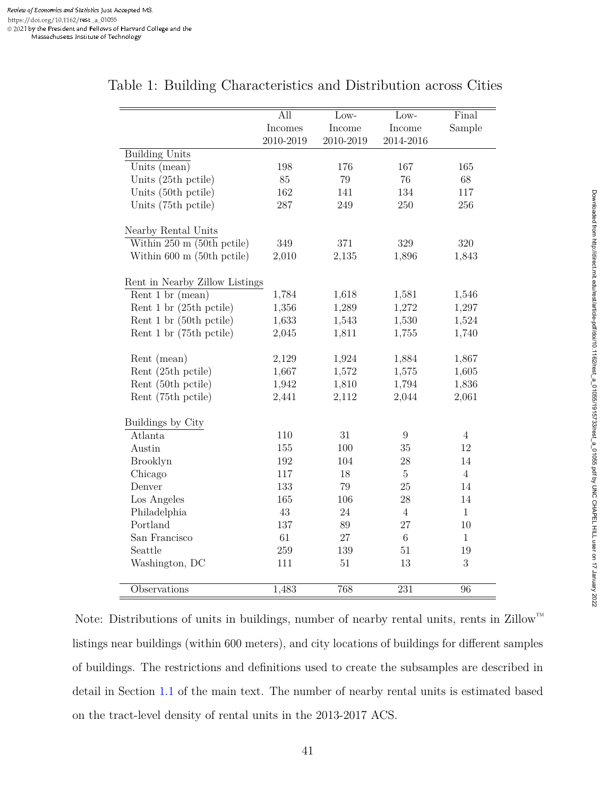|                                | All       | Low-      | Low-           | Final                |
|--------------------------------|-----------|-----------|----------------|----------------------|
|                                | Incomes   | Income    | Income         | Sample               |
|                                | 2010-2019 | 2010-2019 | 2014-2016      |                      |
| <b>Building Units</b>          |           |           |                |                      |
| Units (mean)                   | 198       | 176       | 167            | 165                  |
| Units (25th pctile)            | 85        | 79        | 76             | 68                   |
| Units (50th pctile)            | 162       | 141       | 134            | 117                  |
| Units (75th pctile)            | 287       | $249\,$   | 250            | 256                  |
|                                |           |           |                |                      |
| Nearby Rental Units            |           |           |                | 320                  |
| Within 250 m (50th pctile)     | 349       | 371       | $329\,$        |                      |
| Within 600 m (50th pctile)     | 2,010     | 2,135     | 1,896          | 1,843                |
| Rent in Nearby Zillow Listings |           |           |                |                      |
| Rent 1 br (mean)               | 1,784     | 1,618     | 1,581          | 1,546                |
| Rent 1 br (25th pctile)        | 1,356     | 1,289     | 1,272          | 1,297                |
| Rent 1 br (50th pctile)        | 1,633     | 1,543     | 1,530          | 1,524                |
| Rent 1 br (75th pctile)        | 2,045     | 1,811     | 1,755          | 1,740                |
| Rent (mean)                    | 2,129     | 1,924     | 1,884          | 1,867                |
| Rent (25th pctile)             | 1,667     | 1,572     | 1,575          | 1,605                |
| Rent (50th pctile)             | 1,942     | 1,810     | 1,794          | 1,836                |
| Rent (75th pctile)             | 2,441     | 2,112     | 2,044          | 2,061                |
|                                |           |           |                |                      |
| Buildings by City<br>Atlanta   | 110       | 31        |                |                      |
| Austin                         | 155       | 100       | 9<br>35        | $\overline{4}$<br>12 |
| <b>Brooklyn</b>                | 192       | 104       | 28             | 14                   |
| Chicago                        | 117       | $18\,$    | $\overline{5}$ | $\overline{4}$       |
| Denver                         | 133       | $79\,$    | 25             | 14                   |
|                                | 165       | 106       | $28\,$         | 14                   |
| Los Angeles<br>Philadelphia    | $43\,$    | 24        | $\overline{4}$ | $\mathbf{1}$         |
| Portland                       | 137       | $89\,$    | $27\,$         | $10\,$               |
| San Francisco                  | $61\,$    | $27\,$    | $\,6\,$        | $\mathbf{1}$         |
|                                |           |           |                |                      |
| Seattle                        | 259       | 139<br>51 | $51\,$<br>13   | 19<br>3              |
| Washington, DC                 | 111       |           |                |                      |
| Observations                   | 1,483     | 768       | 231            | 96                   |

Table 1: Building Characteristics and Distribution across Cities

Note: Distributions of units in buildings, number of nearby rental units, rents in Zillow™ listings near buildings (within 600 meters), and city locations of buildings for different samples of buildings. The restrictions and definitions used to create the subsamples are described in detail in Section 1.1 of the main text. The number of nearby rental units is estimated based on the tract-level density of rental units in the 2013-2017 ACS.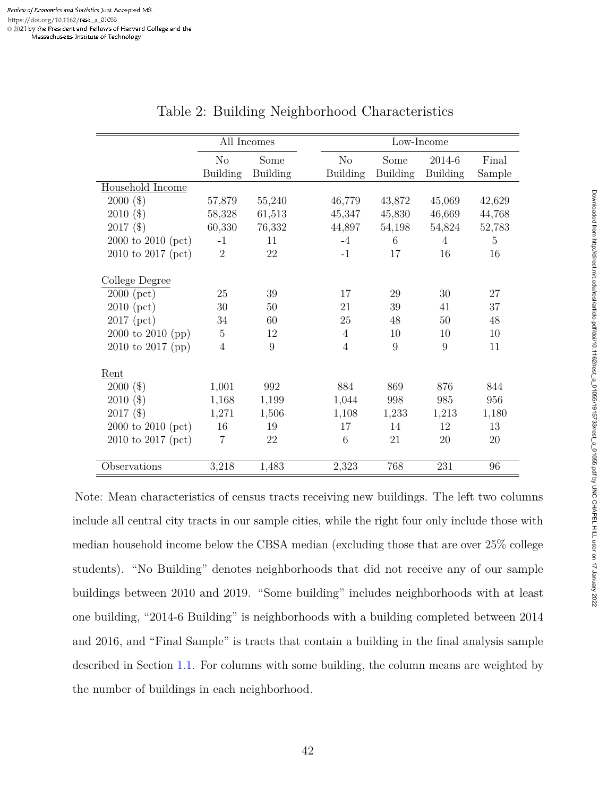|                        | All Incomes    |                 | $\overline{\text{Low-}}$ Income |                 |          |        |
|------------------------|----------------|-----------------|---------------------------------|-----------------|----------|--------|
|                        | No             | Some            | N <sub>o</sub>                  | Some            | 2014-6   | Final  |
|                        | Building       | <b>Building</b> | <b>Building</b>                 | <b>Building</b> | Building | Sample |
| Household Income       |                |                 |                                 |                 |          |        |
| $2000($ \$)            | 57,879         | 55,240          | 46,779                          | 43,872          | 45,069   | 42,629 |
| $2010($ \$)            | 58,328         | 61,513          | 45,347                          | 45,830          | 46,669   | 44,768 |
| $2017($ \$)            | 60,330         | 76,332          | 44,897                          | 54,198          | 54,824   | 52,783 |
| 2000 to 2010 (pct)     | $-1$           | 11              | $-4$                            | 6               | 4        | 5      |
| 2010 to 2017 (pct)     | $\overline{2}$ | 22              | $-1$                            | 17              | 16       | 16     |
|                        |                |                 |                                 |                 |          |        |
| College Degree         |                |                 |                                 |                 |          |        |
| $2000$ (pct)           | 25             | 39              | 17                              | 29              | 30       | 27     |
| $2010$ (pct)           | 30             | 50              | 21                              | 39              | 41       | 37     |
| $2017$ (pct)           | 34             | 60              | 25                              | 48              | 50       | 48     |
| 2000 to 2010 (pp)      | $\overline{5}$ | 12              | $\overline{4}$                  | 10              | 10       | 10     |
| $2010$ to $2017$ (pp)  | $\overline{4}$ | 9               | $\overline{4}$                  | 9               | 9        | 11     |
| Rent                   |                |                 |                                 |                 |          |        |
| $2000($ \$)            | 1,001          | 992             | 884                             | 869             | 876      | 844    |
| $2010($ \$)            | 1,168          | 1,199           | 1,044                           | 998             | 985      | 956    |
| $2017($ \$)            | 1,271          | 1,506           | 1,108                           | 1,233           | 1,213    | 1,180  |
| $2000$ to $2010$ (pct) | 16             | 19              | 17                              | 14              | 12       | 13     |
| 2010 to 2017 (pct)     | $\overline{7}$ | 22              | 6                               | 21              | 20       | 20     |
|                        |                |                 |                                 |                 |          |        |
| Observations           | 3,218          | 1,483           | 2,323                           | 768             | 231      | 96     |

Table 2: Building Neighborhood Characteristics

Note: Mean characteristics of census tracts receiving new buildings. The left two columns include all central city tracts in our sample cities, while the right four only include those with median household income below the CBSA median (excluding those that are over 25% college students). "No Building" denotes neighborhoods that did not receive any of our sample buildings between 2010 and 2019. "Some building" includes neighborhoods with at least one building, "2014-6 Building" is neighborhoods with a building completed between 2014 and 2016, and "Final Sample" is tracts that contain a building in the final analysis sample described in Section 1.1. For columns with some building, the column means are weighted by the number of buildings in each neighborhood.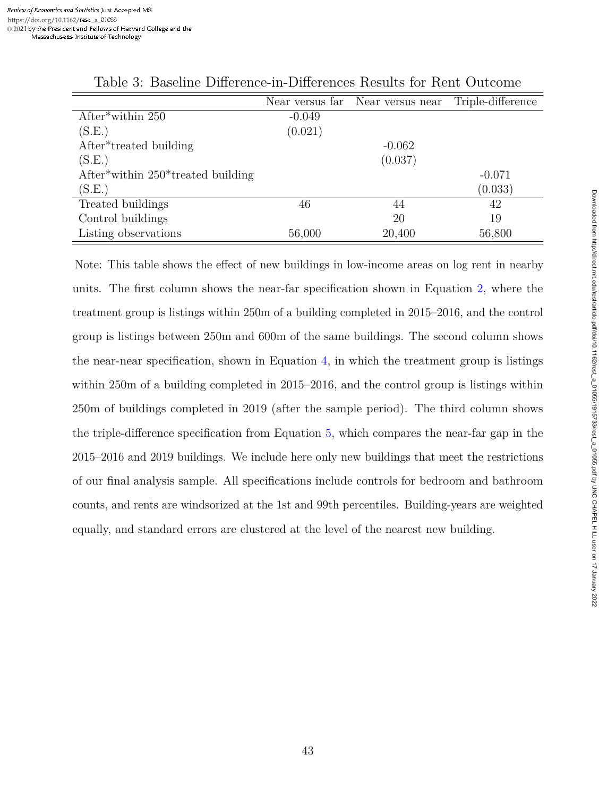|                                      |          | Near versus far Near versus near | Triple-difference |
|--------------------------------------|----------|----------------------------------|-------------------|
| After*within $250$                   | $-0.049$ |                                  |                   |
| (S.E.)                               | (0.021)  |                                  |                   |
| After*treated building               |          | $-0.062$                         |                   |
| (S.E.)                               |          | (0.037)                          |                   |
| After*within $250*$ treated building |          |                                  | $-0.071$          |
| (S.E.)                               |          |                                  | (0.033)           |
| Treated buildings                    | 46       | 44                               | 42                |
| Control buildings                    |          | 20                               | 19                |
| Listing observations                 | 56,000   | 20,400                           | 56,800            |

|  |  |  | Table 3: Baseline Difference-in-Differences Results for Rent Outcome |  |  |  |  |
|--|--|--|----------------------------------------------------------------------|--|--|--|--|
|--|--|--|----------------------------------------------------------------------|--|--|--|--|

Note: This table shows the effect of new buildings in low-income areas on log rent in nearby units. The first column shows the near-far specification shown in Equation 2, where the treatment group is listings within 250m of a building completed in 2015–2016, and the control group is listings between 250m and 600m of the same buildings. The second column shows the near-near specification, shown in Equation 4, in which the treatment group is listings within 250m of a building completed in 2015–2016, and the control group is listings within 250m of buildings completed in 2019 (after the sample period). The third column shows the triple-difference specification from Equation 5, which compares the near-far gap in the 2015–2016 and 2019 buildings. We include here only new buildings that meet the restrictions of our final analysis sample. All specifications include controls for bedroom and bathroom counts, and rents are windsorized at the 1st and 99th percentiles. Building-years are weighted equally, and standard errors are clustered at the level of the nearest new building.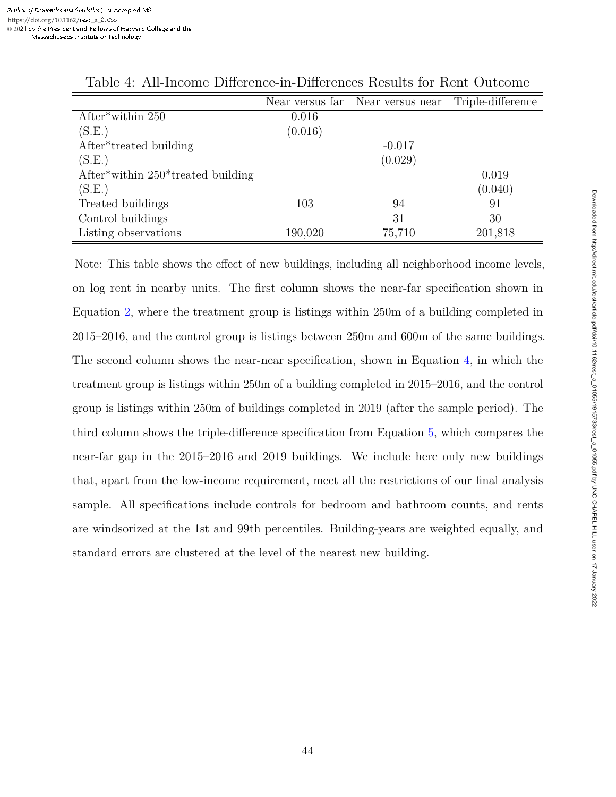|                                      |         | Near versus far Near versus near | Triple-difference |
|--------------------------------------|---------|----------------------------------|-------------------|
| After*within $250$                   | 0.016   |                                  |                   |
| (S.E.)                               | (0.016) |                                  |                   |
| After*treated building               |         | $-0.017$                         |                   |
| (S.E.)                               |         | (0.029)                          |                   |
| After*within $250*$ treated building |         |                                  | 0.019             |
| (S.E.)                               |         |                                  | (0.040)           |
| Treated buildings                    | 103     | 94                               | 91                |
| Control buildings                    |         | 31                               | 30                |
| Listing observations                 | 190,020 | 75,710                           | 201,818           |

Table 4: All-Income Difference-in-Differences Results for Rent Outcome

Note: This table shows the effect of new buildings, including all neighborhood income levels, on log rent in nearby units. The first column shows the near-far specification shown in Equation 2, where the treatment group is listings within 250m of a building completed in 2015–2016, and the control group is listings between 250m and 600m of the same buildings. The second column shows the near-near specification, shown in Equation 4, in which the treatment group is listings within 250m of a building completed in 2015–2016, and the control group is listings within 250m of buildings completed in 2019 (after the sample period). The third column shows the triple-difference specification from Equation 5, which compares the near-far gap in the 2015–2016 and 2019 buildings. We include here only new buildings that, apart from the low-income requirement, meet all the restrictions of our final analysis sample. All specifications include controls for bedroom and bathroom counts, and rents are windsorized at the 1st and 99th percentiles. Building-years are weighted equally, and standard errors are clustered at the level of the nearest new building.